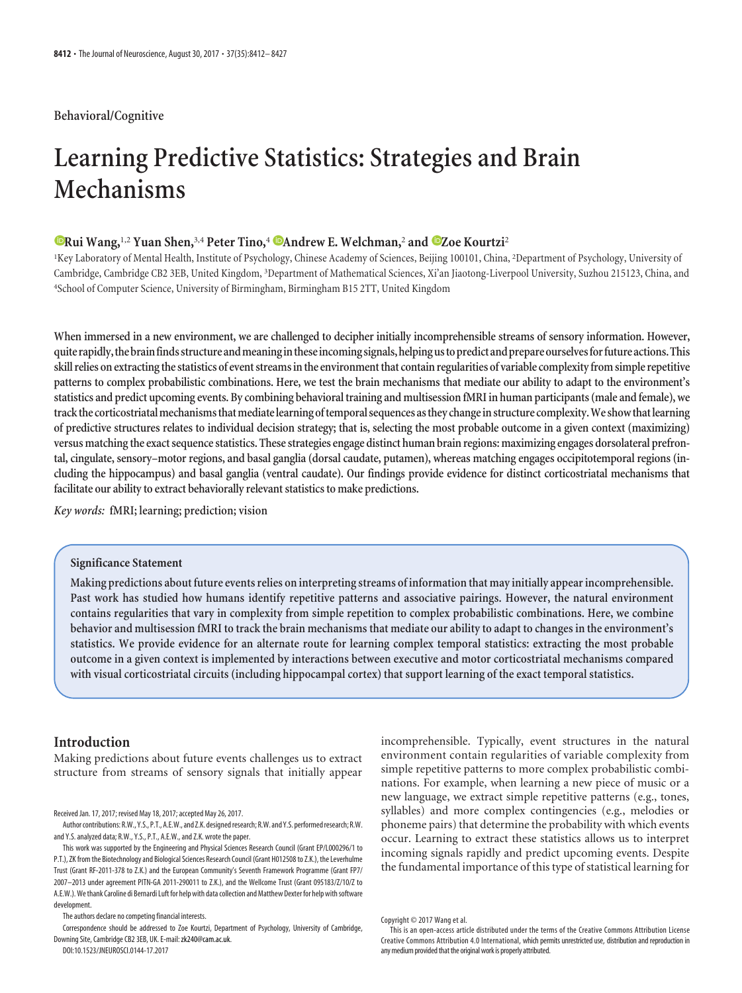# **Behavioral/Cognitive**

# **Learning Predictive Statistics: Strategies and Brain Mechanisms**

# **Example 12 Yuan Shen,**<sup>3,4</sup> Peter Tino,<sup>4</sup> **Candrew E. Welchman,<sup>2</sup> and CZoe Kourtzi<sup>2</sup>**

<sup>1</sup>Key Laboratory of Mental Health, Institute of Psychology, Chinese Academy of Sciences, Beijing 100101, China, <sup>2</sup>Department of Psychology, University of Cambridge, Cambridge CB2 3EB, United Kingdom, <sup>3</sup> Department of Mathematical Sciences, Xi'an Jiaotong-Liverpool University, Suzhou 215123, China, and 4 School of Computer Science, University of Birmingham, Birmingham B15 2TT, United Kingdom

**When immersed in a new environment, we are challenged to decipher initially incomprehensible streams of sensory information. However, quite rapidly,thebrainfindsstructureandmeaningintheseincomingsignals,helpingustopredictandprepareourselvesforfutureactions.This skill relies on extractingthe statistics of event streamsinthe environmentthat contain regularities of variable complexityfrom simple repetitive patterns to complex probabilistic combinations. Here, we test the brain mechanisms that mediate our ability to adapt to the environment's statistics and predict upcoming events. By combining behavioraltraining and multisession fMRI in human participants (male and female), we** track the corticostriatal mechanisms that mediate learning of temporal sequences as they change in structure complexity. We show that learning **of predictive structures relates to individual decision strategy; that is, selecting the most probable outcome in a given context (maximizing) versus matchingthe exact sequence statistics. These strategies engage distinct human brain regions: maximizing engages dorsolateral prefrontal, cingulate, sensory–motor regions, and basal ganglia (dorsal caudate, putamen), whereas matching engages occipitotemporal regions (including the hippocampus) and basal ganglia (ventral caudate). Our findings provide evidence for distinct corticostriatal mechanisms that facilitate our ability to extract behaviorally relevant statistics to make predictions.**

*Key words:* **fMRI; learning; prediction; vision**

# **Significance Statement**

**Making predictions about future events relies on interpreting streams of informationthat may initially appear incomprehensible. Past work has studied how humans identify repetitive patterns and associative pairings. However, the natural environment contains regularities that vary in complexity from simple repetition to complex probabilistic combinations. Here, we combine behavior and multisession fMRI to track the brain mechanisms that mediate our ability to adapt to changes in the environment's statistics. We provide evidence for an alternate route for learning complex temporal statistics: extracting the most probable outcome in a given context is implemented by interactions between executive and motor corticostriatal mechanisms compared with visual corticostriatal circuits (including hippocampal cortex) that support learning of the exact temporal statistics.**

# **Introduction**

Making predictions about future events challenges us to extract structure from streams of sensory signals that initially appear

Received Jan. 17, 2017; revised May 18, 2017; accepted May 26, 2017.

Author contributions: R.W., Y.S., P.T., A.E.W., and Z.K. designedresearch; R.W. and Y.S. performedresearch; R.W. and Y.S. analyzed data; R.W., Y.S., P.T., A.E.W., and Z.K. wrote the paper.

This work was supported by the Engineering and Physical Sciences Research Council (Grant EP/L000296/1 to P.T.), ZK from the Biotechnology and Biological Sciences Research Council (Grant H012508 to Z.K.), the Leverhulme Trust (Grant RF-2011-378 to Z.K.) and the European Community's Seventh Framework Programme (Grant FP7/ 2007–2013 under agreement PITN-GA 2011-290011 to Z.K.), and the Wellcome Trust (Grant 095183/Z/10/Z to A.E.W.). We thank Caroline di Bernardi Luft for help with data collection and Matthew Dexter for help with software development.

The authors declare no competing financial interests.

Correspondence should be addressed to Zoe Kourtzi, Department of Psychology, University of Cambridge, Downing Site, Cambridge CB2 3EB, UK. E-mail: zk240@cam.ac.uk.

DOI:10.1523/JNEUROSCI.0144-17.2017

incomprehensible. Typically, event structures in the natural environment contain regularities of variable complexity from simple repetitive patterns to more complex probabilistic combinations. For example, when learning a new piece of music or a new language, we extract simple repetitive patterns (e.g., tones, syllables) and more complex contingencies (e.g., melodies or phoneme pairs) that determine the probability with which events occur. Learning to extract these statistics allows us to interpret incoming signals rapidly and predict upcoming events. Despite the fundamental importance of this type of statistical learning for

Copyright © 2017 Wang et al.

This is an open-access article distributed under the terms of the Creative Commons Attribution License [Creative Commons Attribution 4.0 International,](https://creativecommons.org/licenses/by/4.0) which permits unrestricted use, distribution and reproduction in any medium provided that the original work is properly attributed.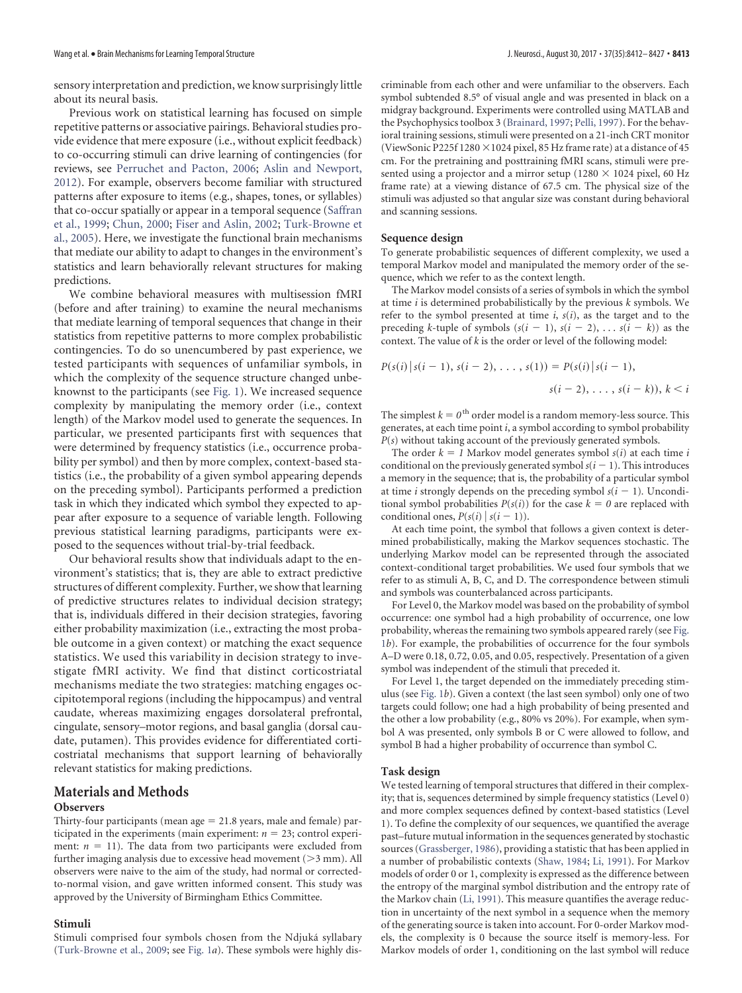sensory interpretation and prediction, we know surprisingly little about its neural basis.

Previous work on statistical learning has focused on simple repetitive patterns or associative pairings. Behavioral studies provide evidence that mere exposure (i.e., without explicit feedback) to co-occurring stimuli can drive learning of contingencies (for reviews, see [Perruchet and Pacton, 2006;](#page-14-0) [Aslin and Newport,](#page-13-0) [2012\)](#page-13-0). For example, observers become familiar with structured patterns after exposure to items (e.g., shapes, tones, or syllables) that co-occur spatially or appear in a temporal sequence [\(Saffran](#page-14-1) [et al., 1999;](#page-14-1) [Chun, 2000;](#page-13-1) [Fiser and Aslin, 2002;](#page-14-2) [Turk-Browne et](#page-15-0) [al., 2005\)](#page-15-0). Here, we investigate the functional brain mechanisms that mediate our ability to adapt to changes in the environment's statistics and learn behaviorally relevant structures for making predictions.

We combine behavioral measures with multisession fMRI (before and after training) to examine the neural mechanisms that mediate learning of temporal sequences that change in their statistics from repetitive patterns to more complex probabilistic contingencies. To do so unencumbered by past experience, we tested participants with sequences of unfamiliar symbols, in which the complexity of the sequence structure changed unbeknownst to the participants (see [Fig. 1\)](#page-4-0). We increased sequence complexity by manipulating the memory order (i.e., context length) of the Markov model used to generate the sequences. In particular, we presented participants first with sequences that were determined by frequency statistics (i.e., occurrence probability per symbol) and then by more complex, context-based statistics (i.e., the probability of a given symbol appearing depends on the preceding symbol). Participants performed a prediction task in which they indicated which symbol they expected to appear after exposure to a sequence of variable length. Following previous statistical learning paradigms, participants were exposed to the sequences without trial-by-trial feedback.

Our behavioral results show that individuals adapt to the environment's statistics; that is, they are able to extract predictive structures of different complexity. Further, we show that learning of predictive structures relates to individual decision strategy; that is, individuals differed in their decision strategies, favoring either probability maximization (i.e., extracting the most probable outcome in a given context) or matching the exact sequence statistics. We used this variability in decision strategy to investigate fMRI activity. We find that distinct corticostriatal mechanisms mediate the two strategies: matching engages occipitotemporal regions (including the hippocampus) and ventral caudate, whereas maximizing engages dorsolateral prefrontal, cingulate, sensory–motor regions, and basal ganglia (dorsal caudate, putamen). This provides evidence for differentiated corticostriatal mechanisms that support learning of behaviorally relevant statistics for making predictions.

# **Materials and Methods**

#### **Observers**

Thirty-four participants (mean  $age = 21.8$  years, male and female) participated in the experiments (main experiment:  $n = 23$ ; control experiment:  $n = 11$ ). The data from two participants were excluded from further imaging analysis due to excessive head movement  $(>3$  mm). All observers were naive to the aim of the study, had normal or correctedto-normal vision, and gave written informed consent. This study was approved by the University of Birmingham Ethics Committee.

#### **Stimuli**

criminable from each other and were unfamiliar to the observers. Each symbol subtended 8.5° of visual angle and was presented in black on a midgray background. Experiments were controlled using MATLAB and the Psychophysics toolbox 3 [\(Brainard, 1997;](#page-13-2) [Pelli, 1997\)](#page-14-3). For the behavioral training sessions, stimuli were presented on a 21-inch CRT monitor (ViewSonic P225f 1280  $\times$  1024 pixel, 85 Hz frame rate) at a distance of 45 cm. For the pretraining and posttraining fMRI scans, stimuli were presented using a projector and a mirror setup (1280  $\times$  1024 pixel, 60 Hz frame rate) at a viewing distance of 67.5 cm. The physical size of the stimuli was adjusted so that angular size was constant during behavioral and scanning sessions.

#### **Sequence design**

To generate probabilistic sequences of different complexity, we used a temporal Markov model and manipulated the memory order of the sequence, which we refer to as the context length.

The Markov model consists of a series of symbols in which the symbol at time *i* is determined probabilistically by the previous *k* symbols. We refer to the symbol presented at time  $i$ ,  $s(i)$ , as the target and to the preceding *k*-tuple of symbols  $(s(i - 1), s(i - 2), \ldots s(i - k))$  as the context. The value of *k* is the order or level of the following model:

$$
P(s(i) | s(i-1), s(i-2), \ldots, s(1)) = P(s(i) | s(i-1),
$$
  

$$
s(i-2), \ldots, s(i-k)), k < i
$$

The simplest  $k = 0$ <sup>th</sup> order model is a random memory-less source. This generates, at each time point *i*, a symbol according to symbol probability *P*(*s*) without taking account of the previously generated symbols.

The order  $k = 1$  Markov model generates symbol  $s(i)$  at each time *i* conditional on the previously generated symbol  $s(i - 1)$ . This introduces a memory in the sequence; that is, the probability of a particular symbol at time *i* strongly depends on the preceding symbol  $s(i - 1)$ . Unconditional symbol probabilities  $P(s(i))$  for the case  $k = 0$  are replaced with conditional ones,  $P(s(i) | s(i-1))$ .

At each time point, the symbol that follows a given context is determined probabilistically, making the Markov sequences stochastic. The underlying Markov model can be represented through the associated context-conditional target probabilities. We used four symbols that we refer to as stimuli A, B, C, and D. The correspondence between stimuli and symbols was counterbalanced across participants.

For Level 0, the Markov model was based on the probability of symbol occurrence: one symbol had a high probability of occurrence, one low probability, whereas the remaining two symbols appeared rarely (see [Fig.](#page-4-0) [1](#page-4-0)*b*). For example, the probabilities of occurrence for the four symbols A–D were 0.18, 0.72, 0.05, and 0.05, respectively. Presentation of a given symbol was independent of the stimuli that preceded it.

For Level 1, the target depended on the immediately preceding stimulus (see [Fig. 1](#page-4-0)*b*). Given a context (the last seen symbol) only one of two targets could follow; one had a high probability of being presented and the other a low probability (e.g., 80% vs 20%). For example, when symbol A was presented, only symbols B or C were allowed to follow, and symbol B had a higher probability of occurrence than symbol C.

#### **Task design**

We tested learning of temporal structures that differed in their complexity; that is, sequences determined by simple frequency statistics (Level 0) and more complex sequences defined by context-based statistics (Level 1). To define the complexity of our sequences, we quantified the average past–future mutual information in the sequences generated by stochastic sources [\(Grassberger, 1986\)](#page-14-4), providing a statistic that has been applied in a number of probabilistic contexts [\(Shaw, 1984;](#page-15-2) [Li, 1991\)](#page-14-5). For Markov models of order 0 or 1, complexity is expressed as the difference between the entropy of the marginal symbol distribution and the entropy rate of the Markov chain [\(Li, 1991\)](#page-14-5). This measure quantifies the average reduction in uncertainty of the next symbol in a sequence when the memory of the generating source is taken into account. For 0-order Markov models, the complexity is 0 because the source itself is memory-less. For Markov models of order 1, conditioning on the last symbol will reduce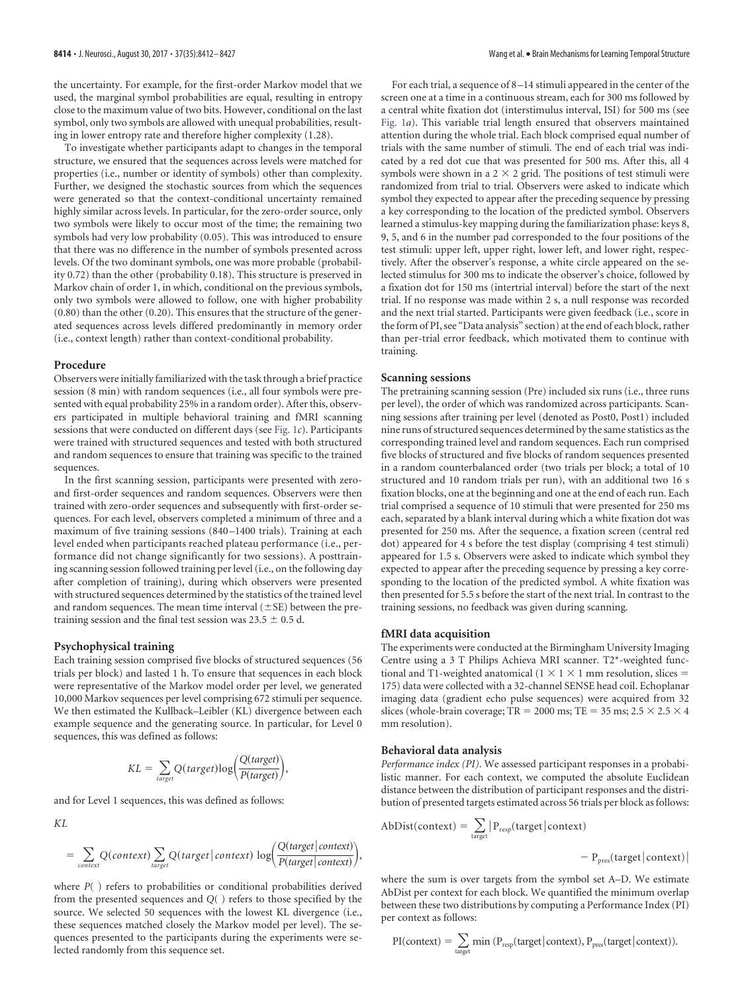the uncertainty. For example, for the first-order Markov model that we used, the marginal symbol probabilities are equal, resulting in entropy close to the maximum value of two bits. However, conditional on the last symbol, only two symbols are allowed with unequal probabilities, resulting in lower entropy rate and therefore higher complexity (1.28).

To investigate whether participants adapt to changes in the temporal structure, we ensured that the sequences across levels were matched for properties (i.e., number or identity of symbols) other than complexity. Further, we designed the stochastic sources from which the sequences were generated so that the context-conditional uncertainty remained highly similar across levels. In particular, for the zero-order source, only two symbols were likely to occur most of the time; the remaining two symbols had very low probability (0.05). This was introduced to ensure that there was no difference in the number of symbols presented across levels. Of the two dominant symbols, one was more probable (probability 0.72) than the other (probability 0.18). This structure is preserved in Markov chain of order 1, in which, conditional on the previous symbols, only two symbols were allowed to follow, one with higher probability (0.80) than the other (0.20). This ensures that the structure of the generated sequences across levels differed predominantly in memory order (i.e., context length) rather than context-conditional probability.

#### **Procedure**

Observers were initially familiarized with the task through a brief practice session (8 min) with random sequences (i.e., all four symbols were presented with equal probability 25% in a random order). After this, observers participated in multiple behavioral training and fMRI scanning sessions that were conducted on different days (see [Fig. 1](#page-4-0)*c*). Participants were trained with structured sequences and tested with both structured and random sequences to ensure that training was specific to the trained sequences.

In the first scanning session, participants were presented with zeroand first-order sequences and random sequences. Observers were then trained with zero-order sequences and subsequently with first-order sequences. For each level, observers completed a minimum of three and a maximum of five training sessions (840 –1400 trials). Training at each level ended when participants reached plateau performance (i.e., performance did not change significantly for two sessions). A posttraining scanning session followed training per level (i.e., on the following day after completion of training), during which observers were presented with structured sequences determined by the statistics of the trained level and random sequences. The mean time interval  $(\pm$ SE) between the pretraining session and the final test session was  $23.5 \pm 0.5$  d.

#### **Psychophysical training**

Each training session comprised five blocks of structured sequences (56 trials per block) and lasted 1 h. To ensure that sequences in each block were representative of the Markov model order per level, we generated 10,000 Markov sequences per level comprising 672 stimuli per sequence. We then estimated the Kullback–Leibler (KL) divergence between each example sequence and the generating source. In particular, for Level 0 sequences, this was defined as follows:

$$
KL = \sum_{target} Q(target) \log \left( \frac{Q(target)}{P(target)} \right),
$$

and for Level 1 sequences, this was defined as follows:

*KL*

$$
= \sum_{context} Q(context) \sum_{target} Q(target | context) \log \left( \frac{Q(target | context)}{P(target | context)} \right),
$$

where *P*( ) refers to probabilities or conditional probabilities derived from the presented sequences and *Q*( ) refers to those specified by the source. We selected 50 sequences with the lowest KL divergence (i.e., these sequences matched closely the Markov model per level). The sequences presented to the participants during the experiments were selected randomly from this sequence set.

For each trial, a sequence of 8 –14 stimuli appeared in the center of the screen one at a time in a continuous stream, each for 300 ms followed by a central white fixation dot (interstimulus interval, ISI) for 500 ms (see [Fig. 1](#page-4-0)*a*). This variable trial length ensured that observers maintained attention during the whole trial. Each block comprised equal number of trials with the same number of stimuli. The end of each trial was indicated by a red dot cue that was presented for 500 ms. After this, all 4 symbols were shown in a  $2 \times 2$  grid. The positions of test stimuli were randomized from trial to trial. Observers were asked to indicate which symbol they expected to appear after the preceding sequence by pressing a key corresponding to the location of the predicted symbol. Observers learned a stimulus-key mapping during the familiarization phase: keys 8, 9, 5, and 6 in the number pad corresponded to the four positions of the test stimuli: upper left, upper right, lower left, and lower right, respectively. After the observer's response, a white circle appeared on the selected stimulus for 300 ms to indicate the observer's choice, followed by a fixation dot for 150 ms (intertrial interval) before the start of the next trial. If no response was made within 2 s, a null response was recorded and the next trial started. Participants were given feedback (i.e., score in the form of PI, see "Data analysis" section) at the end of each block, rather than per-trial error feedback, which motivated them to continue with training.

### **Scanning sessions**

The pretraining scanning session (Pre) included six runs (i.e., three runs per level), the order of which was randomized across participants. Scanning sessions after training per level (denoted as Post0, Post1) included nine runs of structured sequences determined by the same statistics as the corresponding trained level and random sequences. Each run comprised five blocks of structured and five blocks of random sequences presented in a random counterbalanced order (two trials per block; a total of 10 structured and 10 random trials per run), with an additional two 16 s fixation blocks, one at the beginning and one at the end of each run. Each trial comprised a sequence of 10 stimuli that were presented for 250 ms each, separated by a blank interval during which a white fixation dot was presented for 250 ms. After the sequence, a fixation screen (central red dot) appeared for 4 s before the test display (comprising 4 test stimuli) appeared for 1.5 s. Observers were asked to indicate which symbol they expected to appear after the preceding sequence by pressing a key corresponding to the location of the predicted symbol. A white fixation was then presented for 5.5 s before the start of the next trial. In contrast to the training sessions, no feedback was given during scanning.

#### **fMRI data acquisition**

The experiments were conducted at the Birmingham University Imaging Centre using a 3 T Philips Achieva MRI scanner. T2\*-weighted functional and T1-weighted anatomical  $(1 \times 1 \times 1$  mm resolution, slices = 175) data were collected with a 32-channel SENSE head coil. Echoplanar imaging data (gradient echo pulse sequences) were acquired from 32 slices (whole-brain coverage; TR = 2000 ms; TE = 35 ms;  $2.5 \times 2.5 \times 4$ mm resolution).

#### **Behavioral data analysis**

*Performance index (PI)*. We assessed participant responses in a probabilistic manner. For each context, we computed the absolute Euclidean distance between the distribution of participant responses and the distribution of presented targets estimated across 56 trials per block as follows:

$$
Abbist(context) = \sum_{target} |P_{resp}(target|context) - P_{pres}(target|context)| - P_{pres}(target|context)|
$$

where the sum is over targets from the symbol set A–D. We estimate AbDist per context for each block. We quantified the minimum overlap between these two distributions by computing a Performance Index (PI) per context as follows:

$$
PI(context) = \sum_{target} min (P_{resp}(target | context), P_{pres}(target | context)).
$$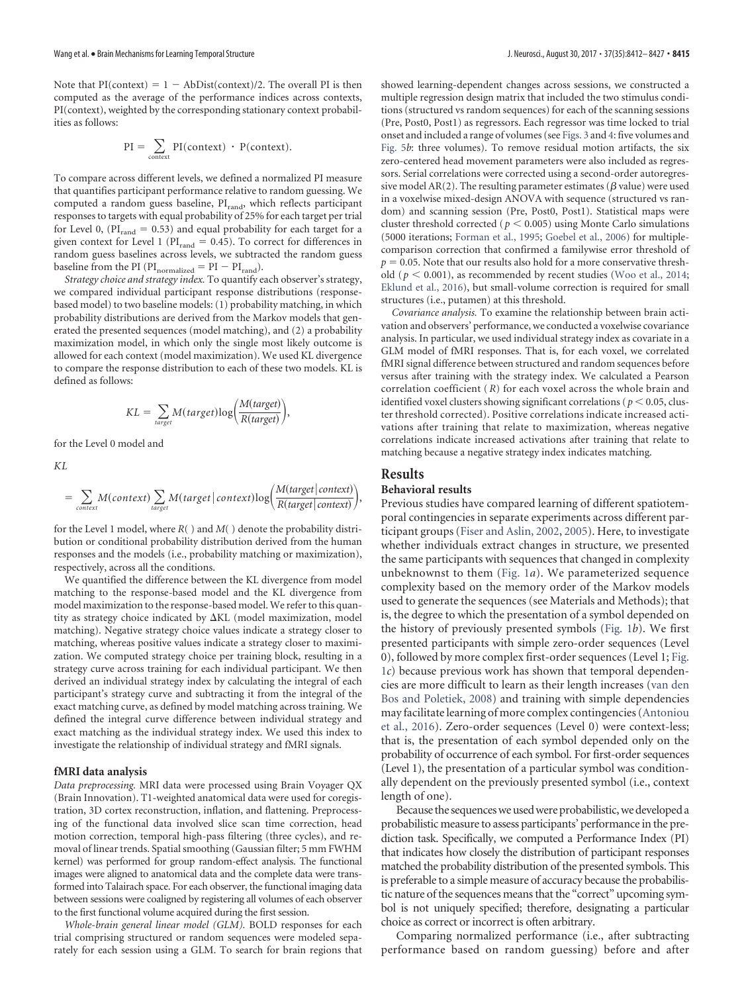Note that  $PI(context) = 1 - ADDist(context)/2$ . The overall PI is then computed as the average of the performance indices across contexts, PI(context), weighted by the corresponding stationary context probabilities as follows:

$$
PI = \sum_{context} PI(context) \cdot P(context).
$$

To compare across different levels, we defined a normalized PI measure that quantifies participant performance relative to random guessing. We computed a random guess baseline,  $PI_{rand}$ , which reflects participant responses to targets with equal probability of 25% for each target per trial for Level 0,  $(PI_{rand} = 0.53)$  and equal probability for each target for a given context for Level 1 ( $PI<sub>rand</sub> = 0.45$ ). To correct for differences in random guess baselines across levels, we subtracted the random guess baseline from the PI ( $PI_{normalized} = PI - PI_{rand}$ ).

*Strategy choice and strategy index.* To quantify each observer's strategy, we compared individual participant response distributions (responsebased model) to two baseline models: (1) probability matching, in which probability distributions are derived from the Markov models that generated the presented sequences (model matching), and (2) a probability maximization model, in which only the single most likely outcome is allowed for each context (model maximization). We used KL divergence to compare the response distribution to each of these two models. KL is defined as follows:

$$
KL = \sum_{target} M(target) \log \left( \frac{M(target)}{R(target)} \right),
$$

for the Level 0 model and

*KL*

$$
= \sum_{context} M(context) \sum_{target} M(target | context) \log \left( \frac{M(target | context)}{R(target | context)} \right),
$$

for the Level 1 model, where *R*( ) and *M*( ) denote the probability distribution or conditional probability distribution derived from the human responses and the models (i.e., probability matching or maximization), respectively, across all the conditions.

We quantified the difference between the KL divergence from model matching to the response-based model and the KL divergence from model maximization to the response-based model.We refer to this quantity as strategy choice indicated by  $\Delta KL$  (model maximization, model matching). Negative strategy choice values indicate a strategy closer to matching, whereas positive values indicate a strategy closer to maximization. We computed strategy choice per training block, resulting in a strategy curve across training for each individual participant. We then derived an individual strategy index by calculating the integral of each participant's strategy curve and subtracting it from the integral of the exact matching curve, as defined by model matching across training. We defined the integral curve difference between individual strategy and exact matching as the individual strategy index. We used this index to investigate the relationship of individual strategy and fMRI signals.

#### **fMRI data analysis**

*Data preprocessing.* MRI data were processed using Brain Voyager QX (Brain Innovation). T1-weighted anatomical data were used for coregistration, 3D cortex reconstruction, inflation, and flattening. Preprocessing of the functional data involved slice scan time correction, head motion correction, temporal high-pass filtering (three cycles), and removal of linear trends. Spatial smoothing (Gaussian filter; 5 mm FWHM kernel) was performed for group random-effect analysis. The functional images were aligned to anatomical data and the complete data were transformed into Talairach space. For each observer, the functional imaging data between sessions were coaligned by registering all volumes of each observer to the first functional volume acquired during the first session.

*Whole*-*brain general linear model (GLM).* BOLD responses for each trial comprising structured or random sequences were modeled separately for each session using a GLM. To search for brain regions that showed learning-dependent changes across sessions, we constructed a multiple regression design matrix that included the two stimulus conditions (structured vs random sequences) for each of the scanning sessions (Pre, Post0, Post1) as regressors. Each regressor was time locked to trial onset and included a range of volumes (see [Figs. 3](#page-6-0) and [4:](#page-8-0) five volumes and [Fig. 5](#page-9-0)*b*: three volumes). To remove residual motion artifacts, the six zero-centered head movement parameters were also included as regressors. Serial correlations were corrected using a second-order autoregressive model AR(2). The resulting parameter estimates ( $\beta$  value) were used in a voxelwise mixed-design ANOVA with sequence (structured vs random) and scanning session (Pre, Post0, Post1). Statistical maps were cluster threshold corrected ( $p < 0.005$ ) using Monte Carlo simulations (5000 iterations; [Forman et al., 1995;](#page-14-6) [Goebel et al., 2006\)](#page-14-7) for multiplecomparison correction that confirmed a familywise error threshold of  $p = 0.05$ . Note that our results also hold for a more conservative threshold ( $p < 0.001$ ), as recommended by recent studies [\(Woo et al., 2014;](#page-15-3) [Eklund et al., 2016\)](#page-14-8), but small-volume correction is required for small structures (i.e., putamen) at this threshold.

*Covariance analysis.* To examine the relationship between brain activation and observers' performance, we conducted a voxelwise covariance analysis. In particular, we used individual strategy index as covariate in a GLM model of fMRI responses. That is, for each voxel, we correlated fMRI signal difference between structured and random sequences before versus after training with the strategy index. We calculated a Pearson correlation coefficient (*R*) for each voxel across the whole brain and identified voxel clusters showing significant correlations ( $p < 0.05$ , cluster threshold corrected). Positive correlations indicate increased activations after training that relate to maximization, whereas negative correlations indicate increased activations after training that relate to matching because a negative strategy index indicates matching.

# **Results**

# **Behavioral results**

Previous studies have compared learning of different spatiotemporal contingencies in separate experiments across different participant groups [\(Fiser and Aslin, 2002,](#page-14-2) [2005\)](#page-14-9). Here, to investigate whether individuals extract changes in structure, we presented the same participants with sequences that changed in complexity unbeknownst to them [\(Fig. 1](#page-4-0)*a*). We parameterized sequence complexity based on the memory order of the Markov models used to generate the sequences (see Materials and Methods); that is, the degree to which the presentation of a symbol depended on the history of previously presented symbols [\(Fig. 1](#page-4-0)*b*). We first presented participants with simple zero-order sequences (Level 0), followed by more complex first-order sequences (Level 1; [Fig.](#page-4-0) [1](#page-4-0)*c*) because previous work has shown that temporal dependencies are more difficult to learn as their length increases [\(van den](#page-15-4) [Bos and Poletiek, 2008\)](#page-15-4) and training with simple dependencies may facilitate learning of more complex contingencies [\(Antoniou](#page-13-3) [et al., 2016\)](#page-13-3). Zero-order sequences (Level 0) were context-less; that is, the presentation of each symbol depended only on the probability of occurrence of each symbol. For first-order sequences (Level 1), the presentation of a particular symbol was conditionally dependent on the previously presented symbol (i.e., context length of one).

Because the sequences we used were probabilistic, we developed a probabilistic measure to assess participants' performance in the prediction task. Specifically, we computed a Performance Index (PI) that indicates how closely the distribution of participant responses matched the probability distribution of the presented symbols. This is preferable to a simple measure of accuracy because the probabilistic nature of the sequences means that the "correct" upcoming symbol is not uniquely specified; therefore, designating a particular choice as correct or incorrect is often arbitrary.

Comparing normalized performance (i.e., after subtracting performance based on random guessing) before and after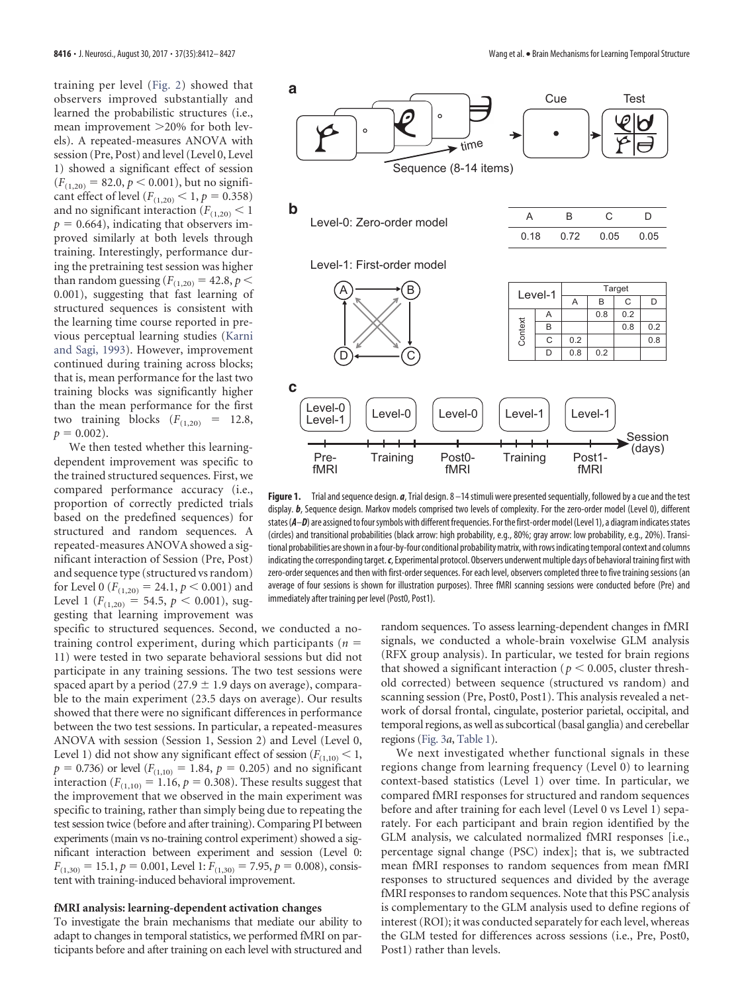training per level [\(Fig. 2\)](#page-5-0) showed that observers improved substantially and learned the probabilistic structures (i.e., mean improvement >20% for both levels). A repeated-measures ANOVA with session (Pre, Post) and level (Level 0, Level 1) showed a significant effect of session  $(F_{(1,20)} = 82.0, p \le 0.001)$ , but no significant effect of level ( $F_{(1,20)} < 1, p = 0.358$ ) and no significant interaction  $(F_{(1,20)} < 1)$  $p = 0.664$ ), indicating that observers improved similarly at both levels through training. Interestingly, performance during the pretraining test session was higher than random guessing ( $F_{(1,20)} = 42.8, p <$ 0.001), suggesting that fast learning of structured sequences is consistent with the learning time course reported in previous perceptual learning studies [\(Karni](#page-14-10) [and Sagi, 1993\)](#page-14-10). However, improvement continued during training across blocks; that is, mean performance for the last two training blocks was significantly higher than the mean performance for the first two training blocks  $(F_{(1,20)} = 12.8,$  $p = 0.002$ ).

We then tested whether this learningdependent improvement was specific to the trained structured sequences. First, we compared performance accuracy (i.e., proportion of correctly predicted trials based on the predefined sequences) for structured and random sequences. A repeated-measures ANOVA showed a significant interaction of Session (Pre, Post) and sequence type (structured vs random) for Level 0 ( $F_{(1,20)} = 24.1, p \le 0.001$ ) and Level 1 ( $F_{(1,20)} = 54.5$ ,  $p < 0.001$ ), suggesting that learning improvement was

specific to structured sequences. Second, we conducted a notraining control experiment, during which participants  $(n =$ 11) were tested in two separate behavioral sessions but did not participate in any training sessions. The two test sessions were spaced apart by a period (27.9  $\pm$  1.9 days on average), comparable to the main experiment (23.5 days on average). Our results showed that there were no significant differences in performance between the two test sessions. In particular, a repeated-measures ANOVA with session (Session 1, Session 2) and Level (Level 0, Level 1) did not show any significant effect of session ( $F_{(1,10)} < 1$ ,  $p = 0.736$ ) or level ( $F_{(1,10)} = 1.84$ ,  $p = 0.205$ ) and no significant interaction ( $F_{(1,10)} = 1.16$ ,  $p = 0.308$ ). These results suggest that the improvement that we observed in the main experiment was specific to training, rather than simply being due to repeating the test session twice (before and after training). Comparing PI between experiments (main vs no-training control experiment) showed a significant interaction between experiment and session (Level 0:  $F_{(1,30)} = 15.1, p = 0.001$ , Level 1:  $F_{(1,30)} = 7.95, p = 0.008$ , consistent with training-induced behavioral improvement.

#### **fMRI analysis: learning-dependent activation changes**

To investigate the brain mechanisms that mediate our ability to adapt to changes in temporal statistics, we performed fMRI on participants before and after training on each level with structured and



<span id="page-4-0"></span>**Figure 1.** Trial and sequence design. *a*, Trial design. 8 –14 stimuli were presented sequentially, followed by a cue and the test display. b, Sequence design. Markov models comprised two levels of complexity. For the zero-order model (Level 0), different states (*A*-*D*) are assigned to four symbols with different frequencies. For the first-order model (Level 1), a diagram indicates states (circles) and transitional probabilities (black arrow: high probability, e.g., 80%; gray arrow: low probability, e.g., 20%). Transitional probabilities are shown in a four-by-four conditional probability matrix, with rows indicating temporal context and columns indicating the corresponding target.*c*, Experimental protocol. Observers underwent multiple days of behavioral training first with zero-order sequences and then with first-order sequences. For each level, observers completed three to five training sessions (an average of four sessions is shown for illustration purposes). Three fMRI scanning sessions were conducted before (Pre) and immediately after training per level (Post0, Post1).

random sequences. To assess learning-dependent changes in fMRI signals, we conducted a whole-brain voxelwise GLM analysis (RFX group analysis). In particular, we tested for brain regions that showed a significant interaction ( $p < 0.005$ , cluster threshold corrected) between sequence (structured vs random) and scanning session (Pre, Post0, Post1). This analysis revealed a network of dorsal frontal, cingulate, posterior parietal, occipital, and temporal regions, as well as subcortical (basal ganglia) and cerebellar regions [\(Fig. 3](#page-6-0)*a*, [Table 1\)](#page-7-0).

We next investigated whether functional signals in these regions change from learning frequency (Level 0) to learning context-based statistics (Level 1) over time. In particular, we compared fMRI responses for structured and random sequences before and after training for each level (Level 0 vs Level 1) separately. For each participant and brain region identified by the GLM analysis, we calculated normalized fMRI responses [i.e., percentage signal change (PSC) index]; that is, we subtracted mean fMRI responses to random sequences from mean fMRI responses to structured sequences and divided by the average fMRI responses to random sequences. Note that this PSC analysis is complementary to the GLM analysis used to define regions of interest (ROI); it was conducted separately for each level, whereas the GLM tested for differences across sessions (i.e., Pre, Post0, Post1) rather than levels.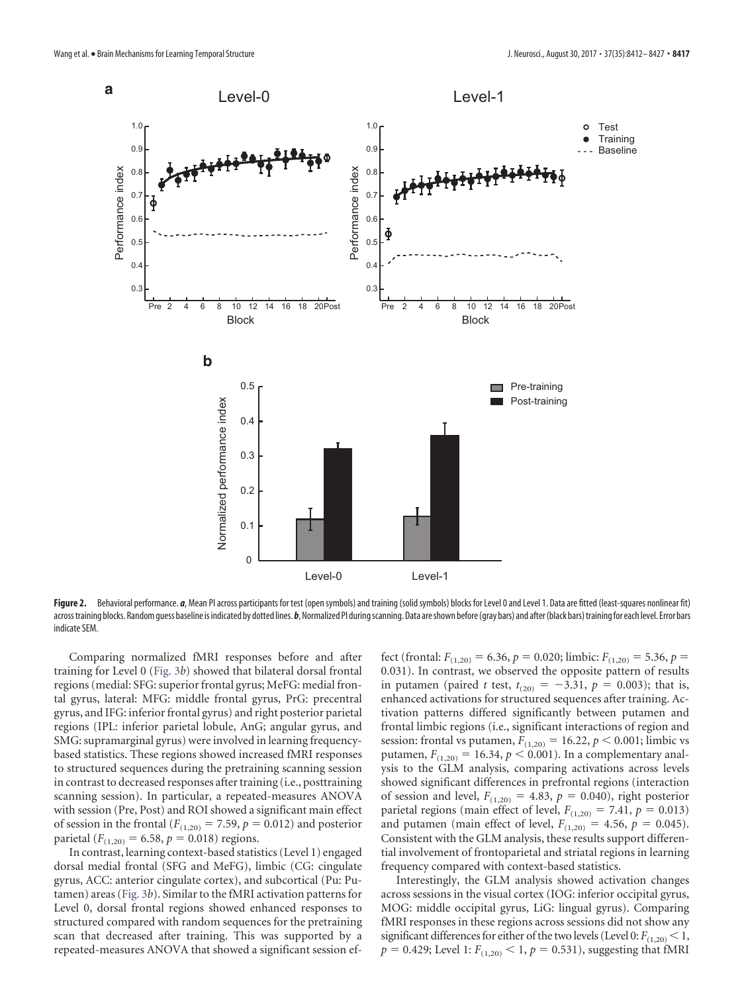

<span id="page-5-0"></span>Figure 2. Behavioral performance. *a*, Mean PI across participants for test (open symbols) and training (solid symbols) blocks for Level 0 and Level 1. Data are fitted (least-squares nonlinear fit) across training blocks. Random guess baseline is indicated by dotted lines. b, Normalized PI during scanning. Data are shown before (gray bars) and after (black bars) training for each level. Error bars indicate SEM.

Comparing normalized fMRI responses before and after training for Level 0 [\(Fig. 3](#page-6-0)*b*) showed that bilateral dorsal frontal regions (medial: SFG: superior frontal gyrus; MeFG: medial frontal gyrus, lateral: MFG: middle frontal gyrus, PrG: precentral gyrus, and IFG: inferior frontal gyrus) and right posterior parietal regions (IPL: inferior parietal lobule, AnG; angular gyrus, and SMG: supramarginal gyrus) were involved in learning frequencybased statistics. These regions showed increased fMRI responses to structured sequences during the pretraining scanning session in contrast to decreased responses after training (i.e., posttraining scanning session). In particular, a repeated-measures ANOVA with session (Pre, Post) and ROI showed a significant main effect of session in the frontal ( $F_{(1,20)} = 7.59$ ,  $p = 0.012$ ) and posterior parietal ( $F_{(1,20)} = 6.58$ ,  $p = 0.018$ ) regions.

In contrast, learning context-based statistics (Level 1) engaged dorsal medial frontal (SFG and MeFG), limbic (CG: cingulate gyrus, ACC: anterior cingulate cortex), and subcortical (Pu: Putamen) areas [\(Fig. 3](#page-6-0)*b*). Similar to the fMRI activation patterns for Level 0, dorsal frontal regions showed enhanced responses to structured compared with random sequences for the pretraining scan that decreased after training. This was supported by a repeated-measures ANOVA that showed a significant session ef-

fect (frontal:  $F_{(1,20)} = 6.36$ ,  $p = 0.020$ ; limbic:  $F_{(1,20)} = 5.36$ ,  $p =$ 0.031). In contrast, we observed the opposite pattern of results in putamen (paired *t* test,  $t_{(20)} = -3.31$ ,  $p = 0.003$ ); that is, enhanced activations for structured sequences after training. Activation patterns differed significantly between putamen and frontal limbic regions (i.e., significant interactions of region and session: frontal vs putamen,  $F_{(1,20)} = 16.22, p < 0.001$ ; limbic vs putamen,  $F_{(1,20)} = 16.34, p \le 0.001$ ). In a complementary analysis to the GLM analysis, comparing activations across levels showed significant differences in prefrontal regions (interaction of session and level,  $F_{(1,20)} = 4.83$ ,  $p = 0.040$ ), right posterior parietal regions (main effect of level,  $F_{(1,20)} = 7.41$ ,  $p = 0.013$ ) and putamen (main effect of level,  $F_{(1,20)} = 4.56$ ,  $p = 0.045$ ). Consistent with the GLM analysis, these results support differential involvement of frontoparietal and striatal regions in learning frequency compared with context-based statistics.

Interestingly, the GLM analysis showed activation changes across sessions in the visual cortex (IOG: inferior occipital gyrus, MOG: middle occipital gyrus, LiG: lingual gyrus). Comparing fMRI responses in these regions across sessions did not show any significant differences for either of the two levels (Level 0:  $F_{(1,20)} < 1$ ,  $p = 0.429$ ; Level 1:  $F_{(1,20)} < 1, p = 0.531$ ), suggesting that fMRI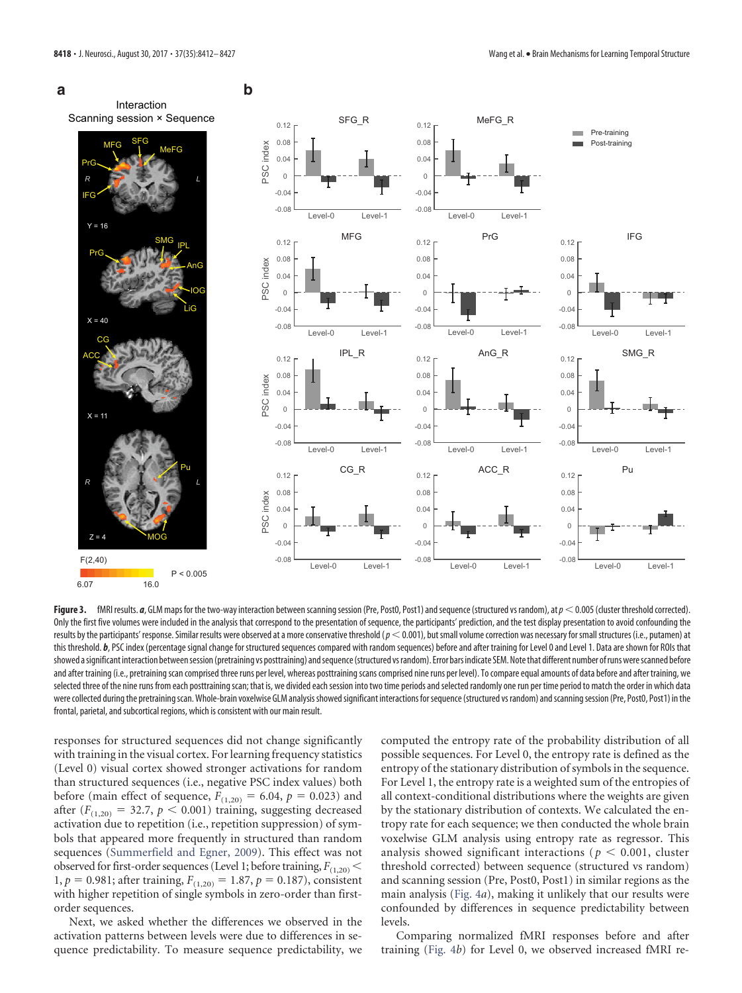

<span id="page-6-0"></span>Figure 3. fMRI results. a, GLM maps for the two-way interaction between scanning session (Pre, Post0, Post1) and sequence (structured vs random), at  $p < 0.005$  (cluster threshold corrected). Only the first five volumes were included in the analysis that correspond to the presentation of sequence, the participants' prediction, and the test display presentation to avoid confounding the results by the participants' response. Similar results were observed at a more conservative threshold (*p* < 0.001), but small volume correction was necessary for small structures (i.e., putamen) at this threshold. b, PSC index (percentage signal change for structured sequences compared with random sequences) before and after training for Level 0 and Level 1. Data are shown for ROIs that showed asignificant interaction betweensession(pretraining vs posttraining) andsequence(structured vsrandom). Error bars indicate SEM.Notethat different number ofrunswerescanned before and after training (i.e., pretraining scan comprised three runs per level, whereas posttraining scans comprised nine runs per level). To compare equal amounts of data before and after training, we selected three of the nine runs from each posttraining scan; that is, we divided each session into two time periods and selected randomly one run per time period to match the order in which data were collected during the pretraining scan. Whole-brain voxelwise GLM analysis showed significant interactions for sequence (structured vs random) and scanning session (Pre, Post0, Post1) in the frontal, parietal, and subcortical regions, which is consistent with our main result.

responses for structured sequences did not change significantly with training in the visual cortex. For learning frequency statistics (Level 0) visual cortex showed stronger activations for random than structured sequences (i.e., negative PSC index values) both before (main effect of sequence,  $F_{(1,20)} = 6.04$ ,  $p = 0.023$ ) and after  $(F_{(1,20)} = 32.7, p \le 0.001)$  training, suggesting decreased activation due to repetition (i.e., repetition suppression) of symbols that appeared more frequently in structured than random sequences [\(Summerfield and Egner, 2009\)](#page-15-5). This effect was not observed for first-order sequences (Level 1; before training,  $F_{(1,20)}$   $<$ 1,  $p = 0.981$ ; after training,  $F_{(1,20)} = 1.87$ ,  $p = 0.187$ ), consistent with higher repetition of single symbols in zero-order than firstorder sequences.

Next, we asked whether the differences we observed in the activation patterns between levels were due to differences in sequence predictability. To measure sequence predictability, we computed the entropy rate of the probability distribution of all possible sequences. For Level 0, the entropy rate is defined as the entropy of the stationary distribution of symbols in the sequence. For Level 1, the entropy rate is a weighted sum of the entropies of all context-conditional distributions where the weights are given by the stationary distribution of contexts. We calculated the entropy rate for each sequence; we then conducted the whole brain voxelwise GLM analysis using entropy rate as regressor. This analysis showed significant interactions ( $p < 0.001$ , cluster threshold corrected) between sequence (structured vs random) and scanning session (Pre, Post0, Post1) in similar regions as the main analysis [\(Fig. 4](#page-8-0)*a*), making it unlikely that our results were confounded by differences in sequence predictability between levels.

Comparing normalized fMRI responses before and after training [\(Fig. 4](#page-8-0)*b*) for Level 0, we observed increased fMRI re-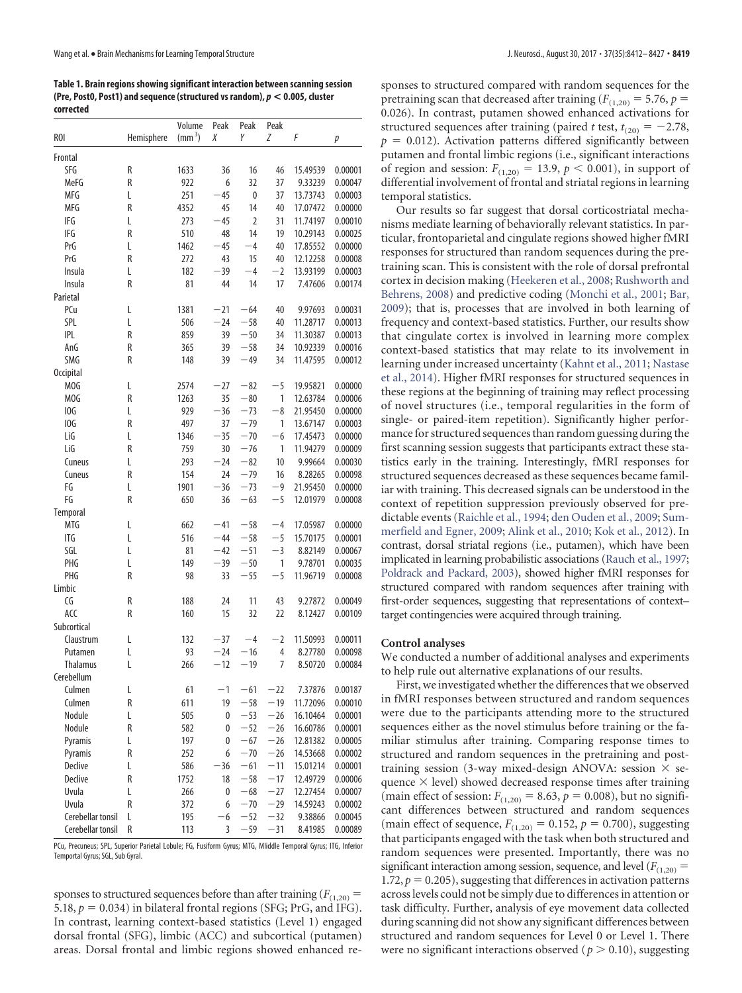<span id="page-7-0"></span>**Table 1. Brain regions showing significant interaction between scanning session (Pre, Post0, Post1) and sequence (structured vs random),** *p* **< 0.005, cluster corrected**

| <b>ROI</b>        | Hemisphere | Volume<br>$\text{m}^3$ | Peak<br>Χ    | Peak<br>Υ | Peak<br>Ζ | F        | р       |
|-------------------|------------|------------------------|--------------|-----------|-----------|----------|---------|
|                   |            |                        |              |           |           |          |         |
| Frontal           |            |                        |              |           |           |          |         |
| SFG               | R          | 1633                   | 36           | 16        | 46        | 15.49539 | 0.00001 |
| MeFG              | R          | 922                    | 6            | 32        | 37        | 9.33239  | 0.00047 |
| MFG               | L          | 251                    | $-45$        | 0         | 37        | 13.73743 | 0.00003 |
| MFG               | R          | 4352                   | 45           | 14        | 40        | 17.07472 | 0.00000 |
| IFG               | L          | 273                    | $-45$        | 2         | 31        | 11.74197 | 0.00010 |
| IFG               | R          | 510                    | 48           | 14        | 19        | 10.29143 | 0.00025 |
| PrG               | L          | 1462                   | $-45$        | $-4$      | 40        | 17.85552 | 0.00000 |
| PrG               | R          | 272                    | 43           | 15        | 40        | 12.12258 | 0.00008 |
| Insula            | L          | 182                    | -39          | $-4$      | $-2$      | 13.93199 | 0.00003 |
| Insula            | R          | 81                     | 44           | 14        | 17        | 7.47606  | 0.00174 |
| Parietal          |            |                        |              |           |           |          |         |
| PCu               | L          | 1381                   | $-21$        | $-64$     | 40        | 9.97693  | 0.00031 |
| SPL               | L          | 506                    | $-24$        | $-58$     | 40        | 11.28717 | 0.00013 |
| <b>IPL</b>        | R          | 859                    | 39           | $-50$     | 34        | 11.30387 | 0.00013 |
| AnG               | R          | 365                    | 39           | $-58$     | 34        | 10.92339 | 0.00016 |
| SMG               | R          | 148                    | 39           | $-49$     | 34        | 11.47595 | 0.00012 |
| <b>Occipital</b>  |            |                        |              |           |           |          |         |
| MOG               | L          | 2574                   | $-27$        | $-82$     | $-5$      | 19.95821 | 0.00000 |
| MOG               | R          | 1263                   | 35           | $-80$     | 1         | 12.63784 | 0.00006 |
| IOG               | L          | 929                    | $-36$        | $-73$     | $-8$      | 21.95450 | 0.00000 |
| IOG               | R          | 497                    | 37           | $-79$     | 1         | 13.67147 | 0.00003 |
| LiG               | L          | 1346                   | $-35$        | $-70$     | $-6$      | 17.45473 | 0.00000 |
| LiG               | R          | 759                    | 30           | $-76$     | 1         | 11.94279 | 0.00009 |
| Cuneus            | L          | 293                    | $-24$        | $-82$     | 10        | 9.99664  | 0.00030 |
| Cuneus            | R          | 154                    | 24           | $-79$     | 16        | 8.28265  | 0.00098 |
| FG                | L          | 1901                   | $-36$        | $-73$     | -9        | 21.95450 | 0.00000 |
| FG                | R          | 650                    | 36           | $-63$     | $-5$      | 12.01979 | 0.00008 |
| Temporal          |            |                        |              |           |           |          |         |
| <b>MTG</b>        | L          | 662                    | $-41$        | $-58$     | $-4$      | 17.05987 | 0.00000 |
| ITG               | L          | 516                    | $-44$        | $-58$     | -5        | 15.70175 | 0.00001 |
| SGL               | L          | 81                     | $-42$        | $-51$     | $-3$      | 8.82149  | 0.00067 |
| PHG               | L          | 149                    | $-39$        | $-50$     | 1         | 9.78701  | 0.00035 |
| PHG               | R          | 98                     | 33           | $-55$     | $-5$      | 11.96719 | 0.00008 |
| Limbic            |            |                        |              |           |           |          |         |
| CG                | R          | 188                    | 24           | 11        | 43        | 9.27872  | 0.00049 |
| ACC               | R          | 160                    | 15           | 32        | 22        | 8.12427  | 0.00109 |
| Subcortical       |            |                        |              |           |           |          |         |
| Claustrum         | L          | 132                    | $-37$        | $-4$      | $-2$      | 11.50993 | 0.00011 |
| Putamen           | L          | 93                     | $-24$        | $-16$     | 4         | 8.27780  | 0.00098 |
| <b>Thalamus</b>   | L          | 266                    | $-12$        | $-19$     | 7         | 8.50720  | 0.00084 |
| Cerebellum        |            |                        |              |           |           |          |         |
| Culmen            | L          | 61                     | $\mathbf{1}$ | -61       | 22        | 7.37876  | 0.00187 |
| Culmen            | R          | 611                    | 19           | $-58$     | $-19$     | 11.72096 | 0.00010 |
| Nodule            | L          | 505                    | 0            | $-53$     | $-26$     | 16.10464 | 0.00001 |
| Nodule            | R          | 582                    | 0            | $-52$     | $-26$     | 16.60786 | 0.00001 |
| Pyramis           | L          | 197                    | 0            | $-67$     | $-26$     | 12.81382 | 0.00005 |
| Pyramis           | R          | 252                    | 6            | $-70$     | $-26$     | 14.53668 | 0.00002 |
| Declive           | L          | 586                    | $-36$        | $-61$     | $-11$     | 15.01214 | 0.00001 |
| <b>Declive</b>    | R          | 1752                   | 18           | $-58$     | $-17$     | 12.49729 | 0.00006 |
| Uvula             | L          | 266                    | 0            | $-68$     | $-27$     | 12.27454 | 0.00007 |
| <b>Uvula</b>      | R          | 372                    | 6            | $-70$     | $-29$     | 14.59243 | 0.00002 |
| Cerebellar tonsil | L          | 195                    | $-6$         | $-52$     | $-32$     | 9.38866  | 0.00045 |
| Cerebellar tonsil | R          | 113                    | 3            | $-59$     | $-31$     | 8.41985  | 0.00089 |

PCu, Precuneus; SPL, Superior Parietal Lobule; FG, Fusiform Gyrus; MTG, MIiddle Temporal Gyrus; ITG, Inferior Temportal Gyrus; SGL, Sub Gyral.

sponses to structured sequences before than after training  $(F_{(1,20)} =$ 5.18,  $p = 0.034$ ) in bilateral frontal regions (SFG; PrG, and IFG). In contrast, learning context-based statistics (Level 1) engaged dorsal frontal (SFG), limbic (ACC) and subcortical (putamen) areas. Dorsal frontal and limbic regions showed enhanced responses to structured compared with random sequences for the pretraining scan that decreased after training ( $F_{(1,20)} = 5.76$ ,  $p =$ 0.026). In contrast, putamen showed enhanced activations for structured sequences after training (paired *t* test,  $t_{(20)} = -2.78$ ,  $p = 0.012$ ). Activation patterns differed significantly between putamen and frontal limbic regions (i.e., significant interactions of region and session:  $F_{(1,20)} = 13.9, p < 0.001$ ), in support of differential involvement of frontal and striatal regions in learning temporal statistics.

Our results so far suggest that dorsal corticostriatal mechanisms mediate learning of behaviorally relevant statistics. In particular, frontoparietal and cingulate regions showed higher fMRI responses for structured than random sequences during the pretraining scan. This is consistent with the role of dorsal prefrontal cortex in decision making [\(Heekeren et al., 2008;](#page-14-11) [Rushworth and](#page-14-12) [Behrens, 2008\)](#page-14-12) and predictive coding [\(Monchi et al., 2001;](#page-14-13) [Bar,](#page-13-4) [2009\)](#page-13-4); that is, processes that are involved in both learning of frequency and context-based statistics. Further, our results show that cingulate cortex is involved in learning more complex context-based statistics that may relate to its involvement in learning under increased uncertainty [\(Kahnt et al., 2011;](#page-14-14) [Nastase](#page-14-15) [et al., 2014\)](#page-14-15). Higher fMRI responses for structured sequences in these regions at the beginning of training may reflect processing of novel structures (i.e., temporal regularities in the form of single- or paired-item repetition). Significantly higher performance for structured sequences than random guessing during the first scanning session suggests that participants extract these statistics early in the training. Interestingly, fMRI responses for structured sequences decreased as these sequences became familiar with training. This decreased signals can be understood in the context of repetition suppression previously observed for predictable events [\(Raichle et al., 1994;](#page-14-16) [den Ouden et al., 2009;](#page-14-17) [Sum](#page-15-5)[merfield and Egner, 2009;](#page-15-5) [Alink et al., 2010;](#page-13-5) [Kok et al., 2012\)](#page-14-18). In contrast, dorsal striatal regions (i.e., putamen), which have been implicated in learning probabilistic associations [\(Rauch et al., 1997;](#page-14-19) [Poldrack and Packard, 2003\)](#page-14-20), showed higher fMRI responses for structured compared with random sequences after training with first-order sequences, suggesting that representations of context– target contingencies were acquired through training.

## **Control analyses**

We conducted a number of additional analyses and experiments to help rule out alternative explanations of our results.

First, we investigated whether the differences that we observed in fMRI responses between structured and random sequences were due to the participants attending more to the structured sequences either as the novel stimulus before training or the familiar stimulus after training. Comparing response times to structured and random sequences in the pretraining and posttraining session (3-way mixed-design ANOVA: session  $\times$  sequence  $\times$  level) showed decreased response times after training (main effect of session:  $F_{(1,20)} = 8.63$ ,  $p = 0.008$ ), but no significant differences between structured and random sequences (main effect of sequence,  $F_{(1,20)} = 0.152$ ,  $p = 0.700$ ), suggesting that participants engaged with the task when both structured and random sequences were presented. Importantly, there was no significant interaction among session, sequence, and level  $(F<sub>(1,20)</sub> =$ 1.72,  $p = 0.205$ ), suggesting that differences in activation patterns across levels could not be simply due to differences in attention or task difficulty. Further, analysis of eye movement data collected during scanning did not show any significant differences between structured and random sequences for Level 0 or Level 1. There were no significant interactions observed ( $p > 0.10$ ), suggesting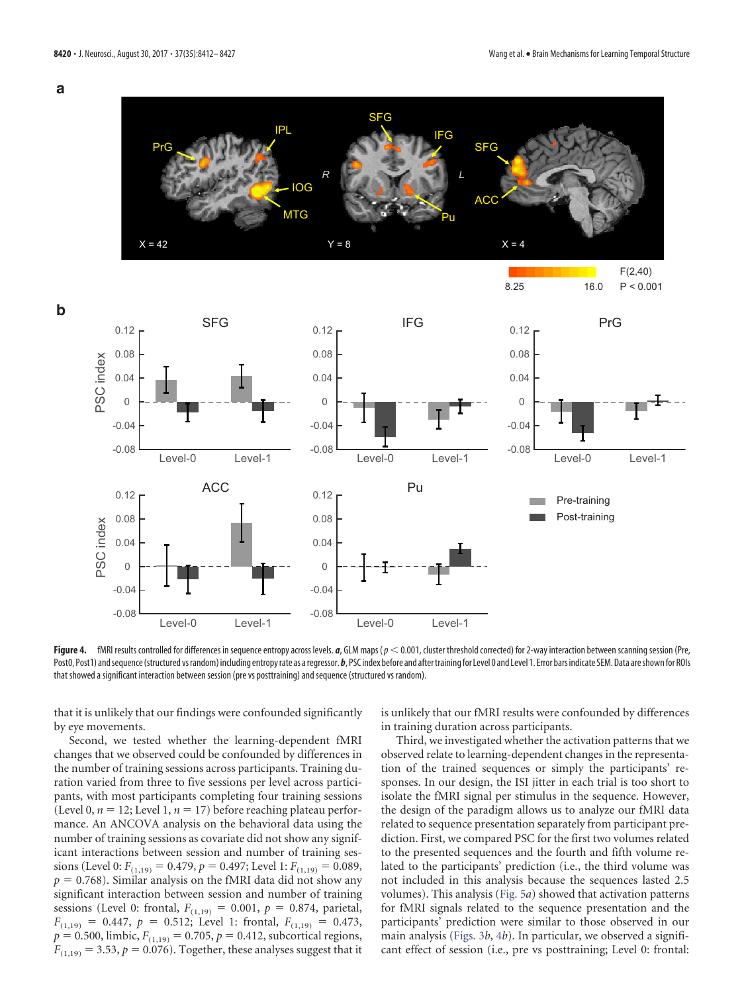**a**



<span id="page-8-0"></span>Figure 4. fMRI results controlled for differences in sequence entropy across levels. *a*, GLM maps (*p* < 0.001, cluster threshold corrected) for 2-way interaction between scanning session (Pre, Post0, Post1) and sequence (structured vsrandom) including entropy rate as a regressor. *b*, PSC index before and after training for Level 0 and Level 1. Error bars indicate SEM. Data are shown for ROIs that showed a significant interaction between session (pre vs posttraining) and sequence (structured vs random).

that it is unlikely that our findings were confounded significantly by eye movements.

Second, we tested whether the learning-dependent fMRI changes that we observed could be confounded by differences in the number of training sessions across participants. Training duration varied from three to five sessions per level across participants, with most participants completing four training sessions (Level 0,  $n = 12$ ; Level 1,  $n = 17$ ) before reaching plateau performance. An ANCOVA analysis on the behavioral data using the number of training sessions as covariate did not show any significant interactions between session and number of training sessions (Level 0:  $F_{(1,19)} = 0.479$ ,  $p = 0.497$ ; Level 1:  $F_{(1,19)} = 0.089$ ,  $p = 0.768$ ). Similar analysis on the fMRI data did not show any significant interaction between session and number of training sessions (Level 0: frontal,  $F_{(1,19)} = 0.001$ ,  $p = 0.874$ , parietal,  $F_{(1,19)} = 0.447$ ,  $p = 0.512$ ; Level 1: frontal,  $F_{(1,19)} = 0.473$ ,  $p = 0.500$ , limbic,  $F_{(1,19)} = 0.705$ ,  $p = 0.412$ , subcortical regions,  $F_{(1,19)} = 3.53, p = 0.076$ ). Together, these analyses suggest that it

is unlikely that our fMRI results were confounded by differences in training duration across participants.

Third, we investigated whether the activation patterns that we observed relate to learning-dependent changes in the representation of the trained sequences or simply the participants' responses. In our design, the ISI jitter in each trial is too short to isolate the fMRI signal per stimulus in the sequence. However, the design of the paradigm allows us to analyze our fMRI data related to sequence presentation separately from participant prediction. First, we compared PSC for the first two volumes related to the presented sequences and the fourth and fifth volume related to the participants' prediction (i.e., the third volume was not included in this analysis because the sequences lasted 2.5 volumes). This analysis [\(Fig. 5](#page-9-0)*a*) showed that activation patterns for fMRI signals related to the sequence presentation and the participants' prediction were similar to those observed in our main analysis [\(Figs. 3](#page-6-0)*b*, [4](#page-8-0)*b*). In particular, we observed a significant effect of session (i.e., pre vs posttraining; Level 0: frontal: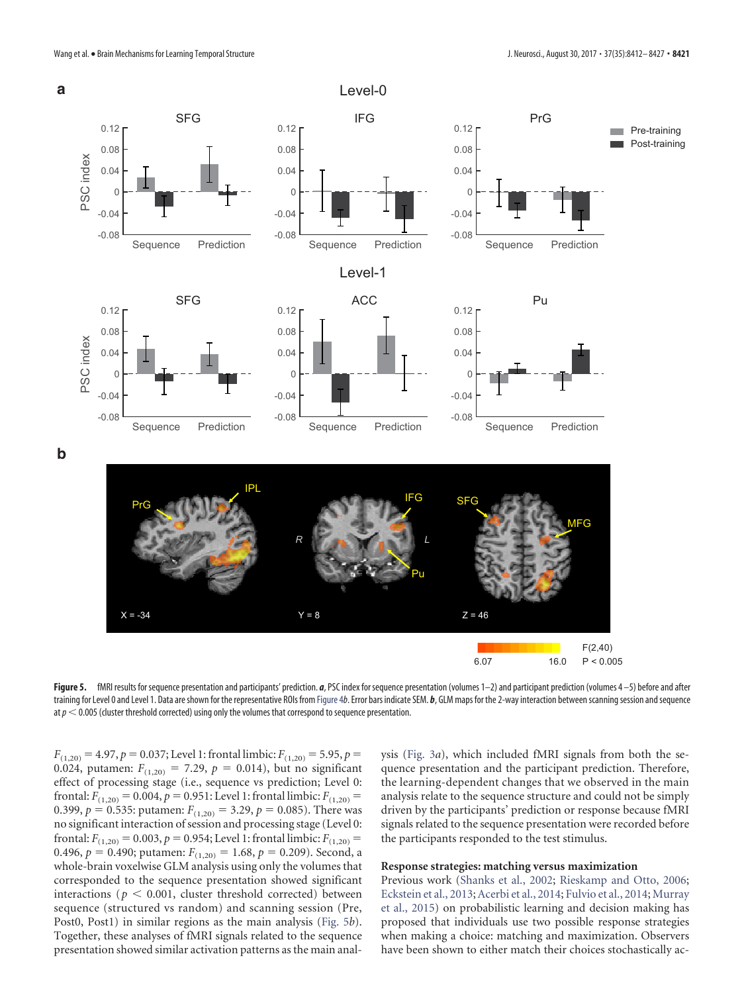

<span id="page-9-0"></span>Figure 5. fMRI results for sequence presentation and participants' prediction. *a*, PSC index for sequence presentation (volumes 1–2) and participant prediction (volumes 4–5) before and after training for Level 0 and Level 1. Data are shown for the representative ROIs from Figure 4*b*. Error bars indicate SEM. *b*, GLM maps for the 2-way interaction between scanning session and sequence at*p* 0.005 (cluster threshold corrected) using only the volumes that correspond to sequence presentation.

 $F_{(1,20)} = 4.97, p = 0.037$ ; Level 1: frontal limbic:  $F_{(1,20)} = 5.95, p =$ 0.024, putamen:  $F_{(1,20)} = 7.29$ ,  $p = 0.014$ ), but no significant effect of processing stage (i.e., sequence vs prediction; Level 0: frontal:  $F_{(1,20)} = 0.004$ ,  $p = 0.951$ : Level 1: frontal limbic:  $F_{(1,20)} =$ 0.399,  $p = 0.535$ : putamen:  $F_{(1,20)} = 3.29$ ,  $p = 0.085$ ). There was no significant interaction of session and processing stage (Level 0: frontal:  $F_{(1,20)} = 0.003$ ,  $p = 0.954$ ; Level 1: frontal limbic:  $F_{(1,20)} =$ 0.496,  $p = 0.490$ ; putamen:  $F_{(1,20)} = 1.68$ ,  $p = 0.209$ ). Second, a whole-brain voxelwise GLM analysis using only the volumes that corresponded to the sequence presentation showed significant interactions ( $p < 0.001$ , cluster threshold corrected) between sequence (structured vs random) and scanning session (Pre, Post0, Post1) in similar regions as the main analysis [\(Fig. 5](#page-9-0)*b*). Together, these analyses of fMRI signals related to the sequence presentation showed similar activation patterns as the main analysis [\(Fig. 3](#page-6-0)*a*), which included fMRI signals from both the sequence presentation and the participant prediction. Therefore, the learning-dependent changes that we observed in the main analysis relate to the sequence structure and could not be simply driven by the participants' prediction or response because fMRI signals related to the sequence presentation were recorded before the participants responded to the test stimulus.

#### **Response strategies: matching versus maximization**

Previous work [\(Shanks et al., 2002;](#page-15-6) [Rieskamp and Otto, 2006;](#page-14-21) [Eckstein et al., 2013;](#page-14-22)[Acerbi et al., 2014;](#page-13-6) [Fulvio et al., 2014;](#page-14-23) [Murray](#page-14-24) [et al., 2015\)](#page-14-24) on probabilistic learning and decision making has proposed that individuals use two possible response strategies when making a choice: matching and maximization. Observers have been shown to either match their choices stochastically ac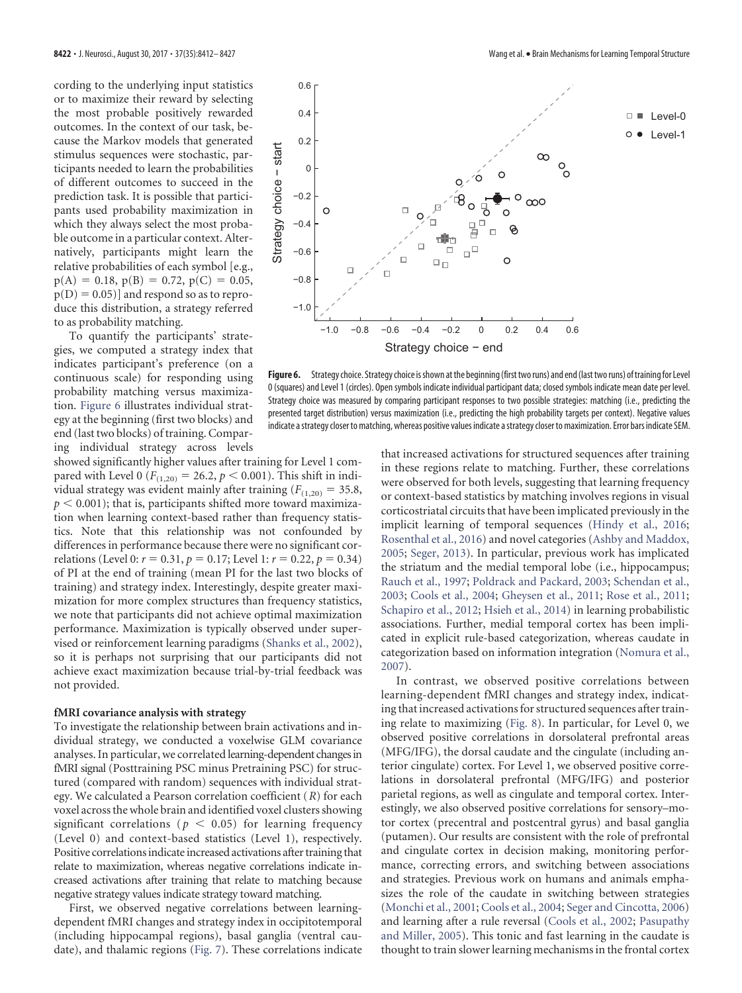cording to the underlying input statistics or to maximize their reward by selecting the most probable positively rewarded outcomes. In the context of our task, because the Markov models that generated stimulus sequences were stochastic, participants needed to learn the probabilities of different outcomes to succeed in the prediction task. It is possible that participants used probability maximization in which they always select the most probable outcome in a particular context. Alternatively, participants might learn the relative probabilities of each symbol [e.g.,  $p(A) = 0.18$ ,  $p(B) = 0.72$ ,  $p(C) = 0.05$ ,  $p(D) = 0.05$ )] and respond so as to reproduce this distribution, a strategy referred to as probability matching.

To quantify the participants' strategies, we computed a strategy index that indicates participant's preference (on a continuous scale) for responding using probability matching versus maximization. [Figure 6](#page-10-0) illustrates individual strategy at the beginning (first two blocks) and end (last two blocks) of training. Comparing individual strategy across levels

showed significantly higher values after training for Level 1 compared with Level 0 ( $F_{(1,20)} = 26.2$ ,  $p < 0.001$ ). This shift in individual strategy was evident mainly after training  $(F_{(1,20)} = 35.8$ ,  $p < 0.001$ ); that is, participants shifted more toward maximization when learning context-based rather than frequency statistics. Note that this relationship was not confounded by differences in performance because there were no significant correlations (Level 0:  $r = 0.31$ ,  $p = 0.17$ ; Level 1:  $r = 0.22$ ,  $p = 0.34$ ) of PI at the end of training (mean PI for the last two blocks of training) and strategy index. Interestingly, despite greater maximization for more complex structures than frequency statistics, we note that participants did not achieve optimal maximization performance. Maximization is typically observed under supervised or reinforcement learning paradigms [\(Shanks et al., 2002\)](#page-15-6), so it is perhaps not surprising that our participants did not achieve exact maximization because trial-by-trial feedback was not provided.

### **fMRI covariance analysis with strategy**

To investigate the relationship between brain activations and individual strategy, we conducted a voxelwise GLM covariance analyses. In particular, we correlated learning-dependent changesin fMRI signal (Posttraining PSC minus Pretraining PSC) for structured (compared with random) sequences with individual strategy. We calculated a Pearson correlation coefficient (*R*) for each voxel across the whole brain and identified voxel clusters showing significant correlations ( $p < 0.05$ ) for learning frequency (Level 0) and context-based statistics (Level 1), respectively. Positive correlations indicate increased activations after training that relate to maximization, whereas negative correlations indicate increased activations after training that relate to matching because negative strategy values indicate strategy toward matching.

First, we observed negative correlations between learningdependent fMRI changes and strategy index in occipitotemporal (including hippocampal regions), basal ganglia (ventral caudate), and thalamic regions [\(Fig. 7\)](#page-11-0). These correlations indicate that increased activations for structured sequences after training in these regions relate to matching. Further, these correlations were observed for both levels, suggesting that learning frequency or context-based statistics by matching involves regions in visual corticostriatal circuits that have been implicated previously in the implicit learning of temporal sequences [\(Hindy et al., 2016;](#page-14-25) [Rosenthal et al., 2016\)](#page-14-26) and novel categories [\(Ashby and Maddox,](#page-13-7) [2005;](#page-13-7) [Seger, 2013\)](#page-15-7). In particular, previous work has implicated the striatum and the medial temporal lobe (i.e., hippocampus; [Rauch et al., 1997;](#page-14-19) [Poldrack and Packard, 2003;](#page-14-20) [Schendan et al.,](#page-14-27) [2003;](#page-14-27) [Cools et al., 2004;](#page-14-28) [Gheysen et al., 2011;](#page-14-29) [Rose et al., 2011;](#page-14-30) [Schapiro et al., 2012;](#page-14-31) [Hsieh et al., 2014\)](#page-14-32) in learning probabilistic associations. Further, medial temporal cortex has been implicated in explicit rule-based categorization, whereas caudate in

categorization based on information integration [\(Nomura et al.,](#page-14-33)

[2007\)](#page-14-33).

In contrast, we observed positive correlations between learning-dependent fMRI changes and strategy index, indicating that increased activations for structured sequences after training relate to maximizing [\(Fig. 8\)](#page-12-0). In particular, for Level 0, we observed positive correlations in dorsolateral prefrontal areas (MFG/IFG), the dorsal caudate and the cingulate (including anterior cingulate) cortex. For Level 1, we observed positive correlations in dorsolateral prefrontal (MFG/IFG) and posterior parietal regions, as well as cingulate and temporal cortex. Interestingly, we also observed positive correlations for sensory–motor cortex (precentral and postcentral gyrus) and basal ganglia (putamen). Our results are consistent with the role of prefrontal and cingulate cortex in decision making, monitoring performance, correcting errors, and switching between associations and strategies. Previous work on humans and animals emphasizes the role of the caudate in switching between strategies [\(Monchi et al., 2001;](#page-14-13) [Cools et al., 2004;](#page-14-28) [Seger and Cincotta, 2006\)](#page-15-8) and learning after a rule reversal [\(Cools et al., 2002;](#page-14-34) [Pasupathy](#page-14-35) [and Miller, 2005\)](#page-14-35). This tonic and fast learning in the caudate is thought to train slower learning mechanisms in the frontal cortex



<span id="page-10-0"></span>0 (squares) and Level 1 (circles). Open symbols indicate individual participant data; closed symbols indicate mean date per level. Strategy choice was measured by comparing participant responses to two possible strategies: matching (i.e., predicting the presented target distribution) versus maximization (i.e., predicting the high probability targets per context). Negative values indicate astrategy closer to matching, whereas positive values indicate astrategy closer to maximization. Error bars indicate SEM.

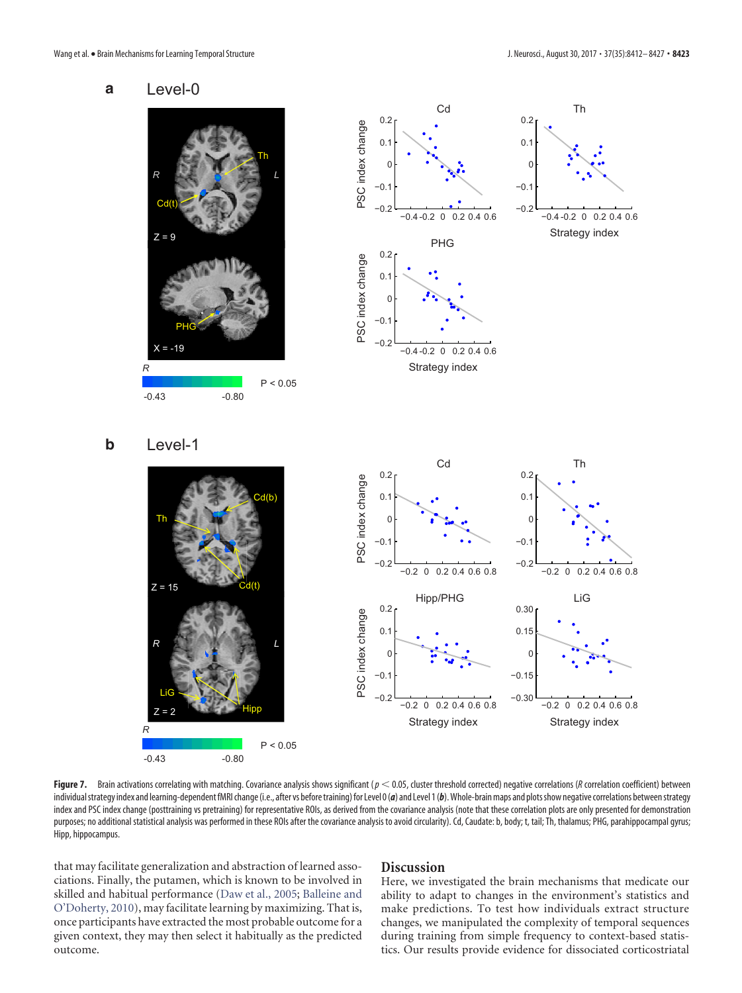





**b**

 $\overline{7}$  :

*R*

LiG

 $Z = 15$ 



<span id="page-11-0"></span>Figure 7. Brain activations correlating with matching. Covariance analysis shows significant ( $p < 0.05$ , cluster threshold corrected) negative correlations (*R* correlation coefficient) between individual strategy index and learning-dependent fMRI change (i.e., after vs before training) for Level 0(*a*) and Level 1(*b*). Whole-brain maps and plots show negative correlations between strategy index and PSC index change (posttraining vs pretraining) for representative ROIs, as derived from the covariance analysis (note that these correlation plots are only presented for demonstration purposes; no additional statistical analysis was performed in these ROIs after the covariance analysis to avoid circularity). Cd, Caudate: b, body; t, tail; Th, thalamus; PHG, parahippocampal gyrus; Hipp, hippocampus.

that may facilitate generalization and abstraction of learned associations. Finally, the putamen, which is known to be involved in skilled and habitual performance [\(Daw et al., 2005;](#page-14-36) [Balleine and](#page-13-8) [O'Doherty, 2010\)](#page-13-8), may facilitate learning by maximizing. That is, once participants have extracted the most probable outcome for a given context, they may then select it habitually as the predicted outcome.

# **Discussion**

Here, we investigated the brain mechanisms that medicate our ability to adapt to changes in the environment's statistics and make predictions. To test how individuals extract structure changes, we manipulated the complexity of temporal sequences during training from simple frequency to context-based statistics. Our results provide evidence for dissociated corticostriatal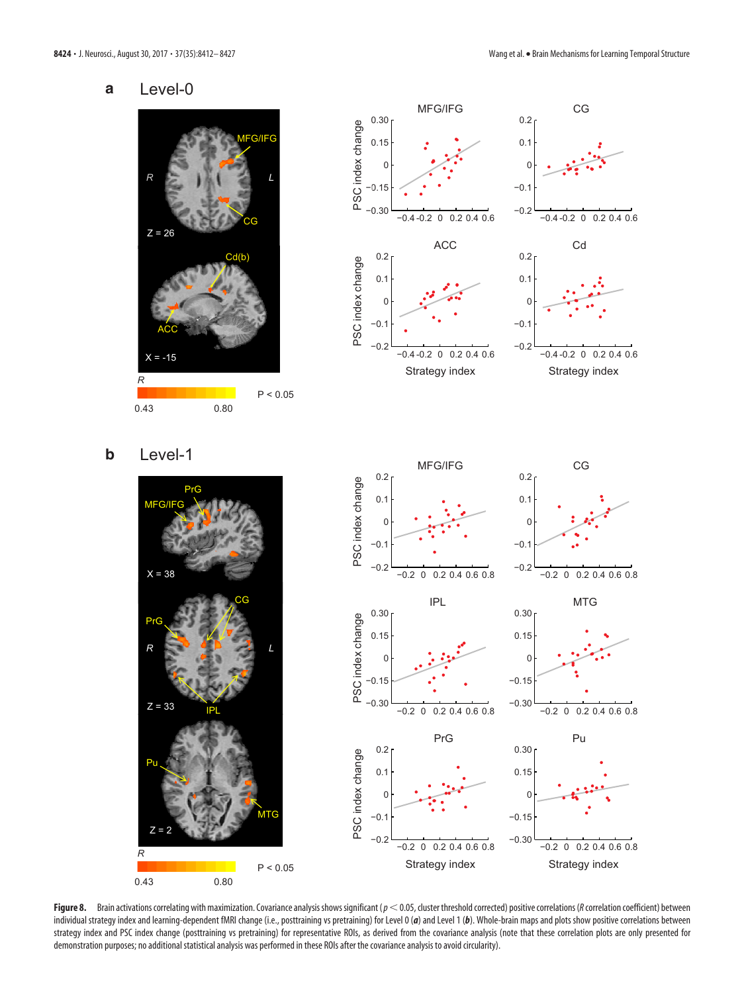#### **a** Level-0





**b** Level-1





<span id="page-12-0"></span>Figure 8. Brain activations correlating with maximization. Covariance analysis shows significant (*p* < 0.05, cluster threshold corrected) positive correlations (*R* correlation coefficient) between individual strategy index and learning-dependent fMRI change (i.e., posttraining vs pretraining) for Level 0 (*a*) and Level 1 (*b*). Whole-brain maps and plots show positive correlations between strategy index and PSC index change (posttraining vs pretraining) for representative ROIs, as derived from the covariance analysis (note that these correlation plots are only presented for demonstration purposes; no additional statistical analysis was performed in these ROIs after the covariance analysis to avoid circularity).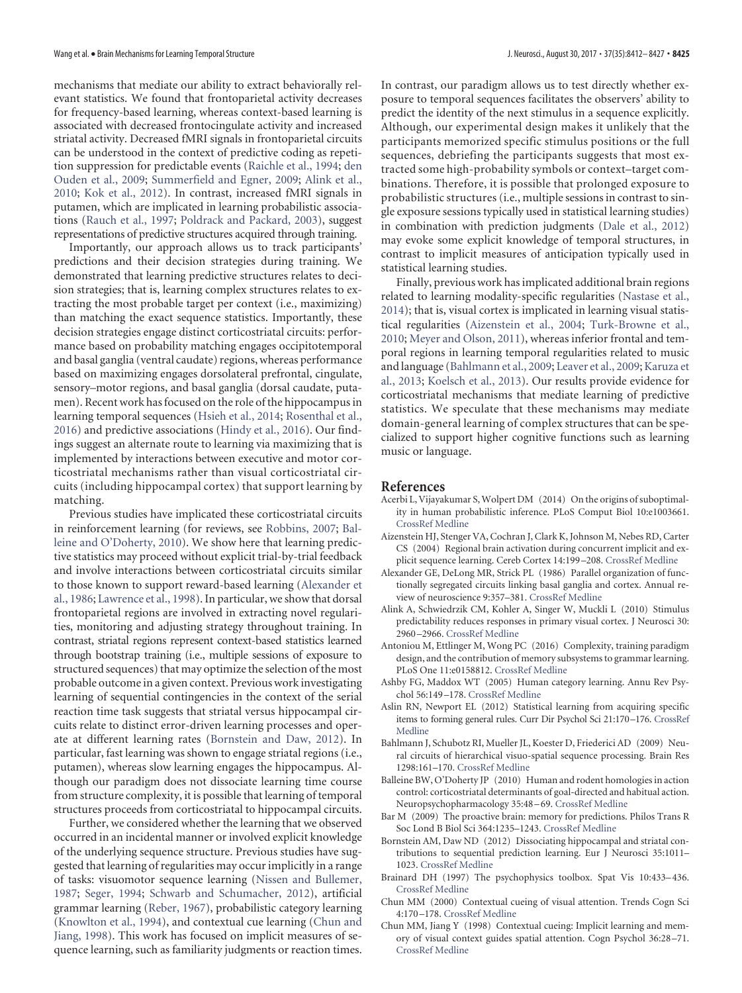mechanisms that mediate our ability to extract behaviorally relevant statistics. We found that frontoparietal activity decreases for frequency-based learning, whereas context-based learning is associated with decreased frontocingulate activity and increased striatal activity. Decreased fMRI signals in frontoparietal circuits can be understood in the context of predictive coding as repetition suppression for predictable events [\(Raichle et al., 1994;](#page-14-16) [den](#page-14-17) [Ouden et al., 2009;](#page-14-17) [Summerfield and Egner, 2009;](#page-15-5) [Alink et al.,](#page-13-5) [2010;](#page-13-5) [Kok et al., 2012\)](#page-14-18). In contrast, increased fMRI signals in putamen, which are implicated in learning probabilistic associations [\(Rauch et al., 1997;](#page-14-19) [Poldrack and Packard, 2003\)](#page-14-20), suggest representations of predictive structures acquired through training.

Importantly, our approach allows us to track participants' predictions and their decision strategies during training. We demonstrated that learning predictive structures relates to decision strategies; that is, learning complex structures relates to extracting the most probable target per context (i.e., maximizing) than matching the exact sequence statistics. Importantly, these decision strategies engage distinct corticostriatal circuits: performance based on probability matching engages occipitotemporal and basal ganglia (ventral caudate) regions, whereas performance based on maximizing engages dorsolateral prefrontal, cingulate, sensory–motor regions, and basal ganglia (dorsal caudate, putamen). Recent work has focused on the role of the hippocampus in learning temporal sequences [\(Hsieh et al., 2014;](#page-14-32) [Rosenthal et al.,](#page-14-26) [2016\)](#page-14-26) and predictive associations [\(Hindy et al., 2016\)](#page-14-25). Our findings suggest an alternate route to learning via maximizing that is implemented by interactions between executive and motor corticostriatal mechanisms rather than visual corticostriatal circuits (including hippocampal cortex) that support learning by matching.

Previous studies have implicated these corticostriatal circuits in reinforcement learning (for reviews, see [Robbins, 2007;](#page-14-37) [Bal](#page-13-8)[leine and O'Doherty, 2010\)](#page-13-8). We show here that learning predictive statistics may proceed without explicit trial-by-trial feedback and involve interactions between corticostriatal circuits similar to those known to support reward-based learning [\(Alexander et](#page-13-9) [al., 1986;](#page-13-9) [Lawrence et al., 1998\)](#page-14-38). In particular, we show that dorsal frontoparietal regions are involved in extracting novel regularities, monitoring and adjusting strategy throughout training. In contrast, striatal regions represent context-based statistics learned through bootstrap training (i.e., multiple sessions of exposure to structured sequences) that may optimize the selection of the most probable outcome in a given context. Previous work investigating learning of sequential contingencies in the context of the serial reaction time task suggests that striatal versus hippocampal circuits relate to distinct error-driven learning processes and operate at different learning rates [\(Bornstein and Daw, 2012\)](#page-13-10). In particular, fast learning was shown to engage striatal regions (i.e., putamen), whereas slow learning engages the hippocampus. Although our paradigm does not dissociate learning time course from structure complexity, it is possible that learning of temporal structures proceeds from corticostriatal to hippocampal circuits.

Further, we considered whether the learning that we observed occurred in an incidental manner or involved explicit knowledge of the underlying sequence structure. Previous studies have suggested that learning of regularities may occur implicitly in a range of tasks: visuomotor sequence learning [\(Nissen and Bullemer,](#page-14-39) [1987;](#page-14-39) [Seger, 1994;](#page-15-9) [Schwarb and Schumacher, 2012\)](#page-14-40), artificial grammar learning [\(Reber, 1967\)](#page-14-41), probabilistic category learning [\(Knowlton et al., 1994\)](#page-14-42), and contextual cue learning [\(Chun and](#page-13-11) [Jiang, 1998\)](#page-13-11). This work has focused on implicit measures of sequence learning, such as familiarity judgments or reaction times.

In contrast, our paradigm allows us to test directly whether exposure to temporal sequences facilitates the observers' ability to predict the identity of the next stimulus in a sequence explicitly. Although, our experimental design makes it unlikely that the participants memorized specific stimulus positions or the full sequences, debriefing the participants suggests that most extracted some high-probability symbols or context–target combinations. Therefore, it is possible that prolonged exposure to probabilistic structures (i.e., multiple sessions in contrast to single exposure sessions typically used in statistical learning studies) in combination with prediction judgments [\(Dale et al., 2012\)](#page-14-43) may evoke some explicit knowledge of temporal structures, in contrast to implicit measures of anticipation typically used in statistical learning studies.

Finally, previous work has implicated additional brain regions related to learning modality-specific regularities [\(Nastase et al.,](#page-14-15) [2014\)](#page-14-15); that is, visual cortex is implicated in learning visual statistical regularities [\(Aizenstein et al., 2004;](#page-13-12) [Turk-Browne et al.,](#page-15-10) [2010;](#page-15-10) [Meyer and Olson, 2011\)](#page-14-44), whereas inferior frontal and temporal regions in learning temporal regularities related to music and language [\(Bahlmann et al., 2009;](#page-13-13) [Leaver et al., 2009;](#page-14-45) [Karuza et](#page-14-46) [al., 2013;](#page-14-46) [Koelsch et al., 2013\)](#page-14-47). Our results provide evidence for corticostriatal mechanisms that mediate learning of predictive statistics. We speculate that these mechanisms may mediate domain-general learning of complex structures that can be specialized to support higher cognitive functions such as learning music or language.

# **References**

- <span id="page-13-6"></span>Acerbi L, Vijayakumar S, Wolpert DM (2014) On the origins of suboptimality in human probabilistic inference. PLoS Comput Biol 10:e1003661. [CrossRef](http://dx.doi.org/10.1371/journal.pcbi.1003661) [Medline](http://www.ncbi.nlm.nih.gov/pubmed/24945142)
- <span id="page-13-12"></span>Aizenstein HJ, Stenger VA, Cochran J, Clark K, Johnson M, Nebes RD, Carter CS (2004) Regional brain activation during concurrent implicit and explicit sequence learning. Cereb Cortex 14:199 –208. [CrossRef](http://dx.doi.org/10.1093/cercor/bhg119) [Medline](http://www.ncbi.nlm.nih.gov/pubmed/14704217)
- <span id="page-13-9"></span>Alexander GE, DeLong MR, Strick PL (1986) Parallel organization of functionally segregated circuits linking basal ganglia and cortex. Annual review of neuroscience 9:357–381. [CrossRef](http://dx.doi.org/10.1146/annurev.ne.09.030186.002041) [Medline](http://www.ncbi.nlm.nih.gov/pubmed/3085570)
- <span id="page-13-5"></span>Alink A, Schwiedrzik CM, Kohler A, Singer W, Muckli L (2010) Stimulus predictability reduces responses in primary visual cortex. J Neurosci 30: 2960 –2966. [CrossRef](http://dx.doi.org/10.1523/JNEUROSCI.3730-10.2010) [Medline](http://www.ncbi.nlm.nih.gov/pubmed/20181593)
- <span id="page-13-3"></span>Antoniou M, Ettlinger M, Wong PC (2016) Complexity, training paradigm design, and the contribution of memory subsystems to grammar learning. PLoS One 11:e0158812. [CrossRef](http://dx.doi.org/10.1371/journal.pone.0158812) [Medline](http://www.ncbi.nlm.nih.gov/pubmed/27391085)
- <span id="page-13-7"></span>Ashby FG, Maddox WT (2005) Human category learning. Annu Rev Psychol 56:149 –178. [CrossRef](http://dx.doi.org/10.1146/annurev.psych.56.091103.070217) [Medline](http://www.ncbi.nlm.nih.gov/pubmed/15709932)
- <span id="page-13-0"></span>Aslin RN, Newport EL (2012) Statistical learning from acquiring specific items to forming general rules. Curr Dir Psychol Sci 21:170 –176. [CrossRef](http://dx.doi.org/10.1177/0963721412436806) [Medline](http://www.ncbi.nlm.nih.gov/pubmed/24000273)
- <span id="page-13-13"></span>Bahlmann J, Schubotz RI, Mueller JL, Koester D, Friederici AD (2009) Neural circuits of hierarchical visuo-spatial sequence processing. Brain Res 1298:161–170. [CrossRef](http://dx.doi.org/10.1016/j.brainres.2009.08.017) [Medline](http://www.ncbi.nlm.nih.gov/pubmed/19686704)
- <span id="page-13-8"></span>Balleine BW, O'Doherty JP (2010) Human and rodent homologies in action control: corticostriatal determinants of goal-directed and habitual action. Neuropsychopharmacology 35:48 –69. [CrossRef](http://dx.doi.org/10.1038/npp.2009.131) [Medline](http://www.ncbi.nlm.nih.gov/pubmed/19776734)
- <span id="page-13-4"></span>Bar M (2009) The proactive brain: memory for predictions. Philos Trans R Soc Lond B Biol Sci 364:1235–1243. [CrossRef](http://dx.doi.org/10.1098/rstb.2008.0310) [Medline](http://www.ncbi.nlm.nih.gov/pubmed/19528004)
- <span id="page-13-10"></span>Bornstein AM, Daw ND (2012) Dissociating hippocampal and striatal contributions to sequential prediction learning. Eur J Neurosci 35:1011– 1023. [CrossRef](http://dx.doi.org/10.1111/j.1460-9568.2011.07920.x) [Medline](http://www.ncbi.nlm.nih.gov/pubmed/22487032)
- <span id="page-13-2"></span>Brainard DH (1997) The psychophysics toolbox. Spat Vis 10:433–436. [CrossRef](http://dx.doi.org/10.1163/156856897X00357) [Medline](http://www.ncbi.nlm.nih.gov/pubmed/9176952)
- <span id="page-13-1"></span>Chun MM (2000) Contextual cueing of visual attention. Trends Cogn Sci 4:170 –178. [CrossRef](http://dx.doi.org/10.1016/S1364-6613(00)01476-5) [Medline](http://www.ncbi.nlm.nih.gov/pubmed/10782102)
- <span id="page-13-11"></span>Chun MM, Jiang Y (1998) Contextual cueing: Implicit learning and memory of visual context guides spatial attention. Cogn Psychol 36:28 –71. [CrossRef](http://dx.doi.org/10.1006/cogp.1998.0681) [Medline](http://www.ncbi.nlm.nih.gov/pubmed/9679076)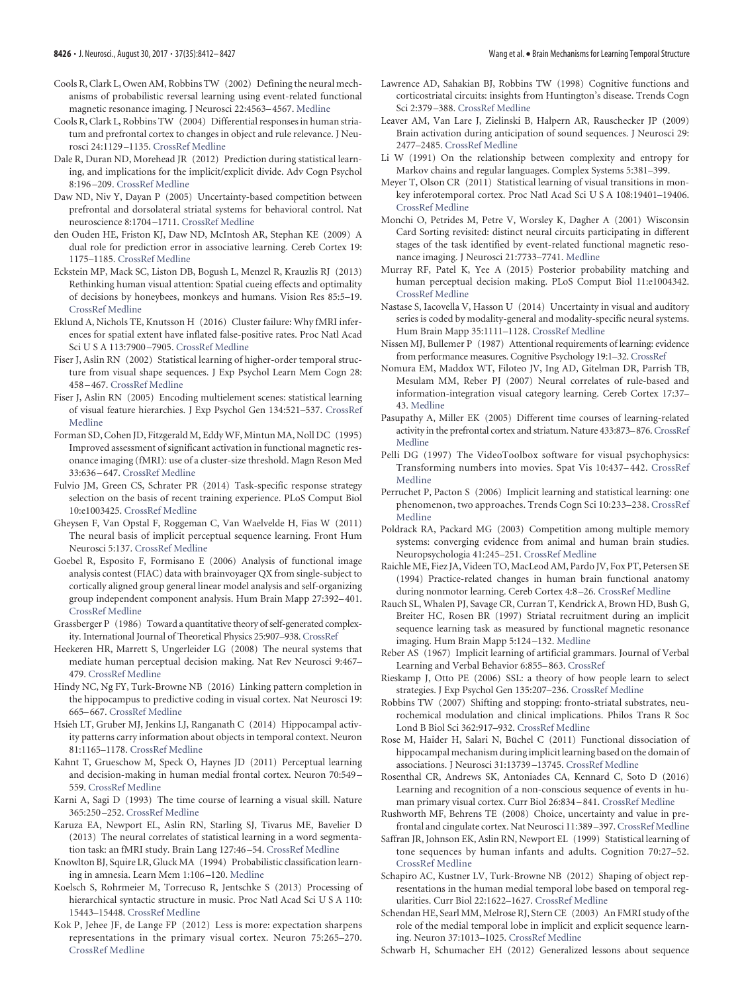- <span id="page-14-34"></span>Cools R, Clark L, Owen AM, Robbins TW (2002) Defining the neural mechanisms of probabilistic reversal learning using event-related functional magnetic resonance imaging. J Neurosci 22:4563–4567. [Medline](http://www.ncbi.nlm.nih.gov/pubmed/12040063)
- <span id="page-14-28"></span>Cools R, Clark L, Robbins TW (2004) Differential responses in human striatum and prefrontal cortex to changes in object and rule relevance. J Neurosci 24:1129 –1135. [CrossRef](http://dx.doi.org/10.1523/JNEUROSCI.4312-03.2004) [Medline](http://www.ncbi.nlm.nih.gov/pubmed/14762131)
- <span id="page-14-43"></span>Dale R, Duran ND, Morehead JR (2012) Prediction during statistical learning, and implications for the implicit/explicit divide. Adv Cogn Psychol 8:196 –209. [CrossRef](http://dx.doi.org/10.5709/acp-0115-z) [Medline](http://www.ncbi.nlm.nih.gov/pubmed/22723817)
- <span id="page-14-36"></span>Daw ND, Niv Y, Dayan P (2005) Uncertainty-based competition between prefrontal and dorsolateral striatal systems for behavioral control. Nat neuroscience 8:1704 –1711. [CrossRef](http://dx.doi.org/10.1038/nn1560) [Medline](http://www.ncbi.nlm.nih.gov/pubmed/16286932)
- <span id="page-14-17"></span>den Ouden HE, Friston KJ, Daw ND, McIntosh AR, Stephan KE (2009) A dual role for prediction error in associative learning. Cereb Cortex 19: 1175–1185. [CrossRef](http://dx.doi.org/10.1093/cercor/bhn161) [Medline](http://www.ncbi.nlm.nih.gov/pubmed/18820290)
- <span id="page-14-22"></span>Eckstein MP, Mack SC, Liston DB, Bogush L, Menzel R, Krauzlis RJ (2013) Rethinking human visual attention: Spatial cueing effects and optimality of decisions by honeybees, monkeys and humans. Vision Res 85:5–19. [CrossRef](http://dx.doi.org/10.1016/j.visres.2012.12.011) [Medline](http://www.ncbi.nlm.nih.gov/pubmed/23298793)
- <span id="page-14-8"></span>Eklund A, Nichols TE, Knutsson H (2016) Cluster failure: Why fMRI inferences for spatial extent have inflated false-positive rates. Proc Natl Acad Sci U S A 113:7900 –7905. [CrossRef](http://dx.doi.org/10.1073/pnas.1602413113) [Medline](http://www.ncbi.nlm.nih.gov/pubmed/27357684)
- <span id="page-14-2"></span>Fiser J, Aslin RN (2002) Statistical learning of higher-order temporal structure from visual shape sequences. J Exp Psychol Learn Mem Cogn 28: 458 –467. [CrossRef](http://dx.doi.org/10.1037/0278-7393.28.3.458) [Medline](http://www.ncbi.nlm.nih.gov/pubmed/12018498)
- <span id="page-14-9"></span>Fiser J, Aslin RN (2005) Encoding multielement scenes: statistical learning of visual feature hierarchies. J Exp Psychol Gen 134:521–537. [CrossRef](http://dx.doi.org/10.1037/0096-3445.134.4.521) [Medline](http://www.ncbi.nlm.nih.gov/pubmed/16316289)
- <span id="page-14-6"></span>Forman SD, Cohen JD, Fitzgerald M, EddyWF, Mintun MA, Noll DC (1995) Improved assessment of significant activation in functional magnetic resonance imaging (fMRI): use of a cluster-size threshold. Magn Reson Med 33:636 –647. [CrossRef](http://dx.doi.org/10.1002/mrm.1910330508) [Medline](http://www.ncbi.nlm.nih.gov/pubmed/7596267)
- <span id="page-14-23"></span>Fulvio JM, Green CS, Schrater PR (2014) Task-specific response strategy selection on the basis of recent training experience. PLoS Comput Biol 10:e1003425. [CrossRef](http://dx.doi.org/10.1371/journal.pcbi.1003425) [Medline](http://www.ncbi.nlm.nih.gov/pubmed/24391490)
- <span id="page-14-29"></span>Gheysen F, Van Opstal F, Roggeman C, Van Waelvelde H, Fias W (2011) The neural basis of implicit perceptual sequence learning. Front Hum Neurosci 5:137. [CrossRef](http://dx.doi.org/10.3389/fnhum.2011.00137) [Medline](http://www.ncbi.nlm.nih.gov/pubmed/22087090)
- <span id="page-14-7"></span>Goebel R, Esposito F, Formisano E (2006) Analysis of functional image analysis contest (FIAC) data with brainvoyager QX from single-subject to cortically aligned group general linear model analysis and self-organizing group independent component analysis. Hum Brain Mapp 27:392–401. [CrossRef](http://dx.doi.org/10.1002/hbm.20249) [Medline](http://www.ncbi.nlm.nih.gov/pubmed/16596654)
- <span id="page-14-4"></span>Grassberger P (1986) Toward a quantitative theory of self-generated complexity. International Journal of Theoretical Physics 25:907–938. [CrossRef](http://dx.doi.org/10.1007/BF00668821)
- <span id="page-14-11"></span>Heekeren HR, Marrett S, Ungerleider LG (2008) The neural systems that mediate human perceptual decision making. Nat Rev Neurosci 9:467– 479. [CrossRef](http://dx.doi.org/10.1038/nrn2374) [Medline](http://www.ncbi.nlm.nih.gov/pubmed/18464792)
- <span id="page-14-25"></span>Hindy NC, Ng FY, Turk-Browne NB (2016) Linking pattern completion in the hippocampus to predictive coding in visual cortex. Nat Neurosci 19: 665–667. [CrossRef](http://dx.doi.org/10.1038/nn.4284) [Medline](http://www.ncbi.nlm.nih.gov/pubmed/27065363)
- <span id="page-14-32"></span>Hsieh LT, Gruber MJ, Jenkins LJ, Ranganath C (2014) Hippocampal activity patterns carry information about objects in temporal context. Neuron 81:1165–1178. [CrossRef](http://dx.doi.org/10.1016/j.neuron.2014.01.015) [Medline](http://www.ncbi.nlm.nih.gov/pubmed/24607234)
- <span id="page-14-14"></span>Kahnt T, Grueschow M, Speck O, Haynes JD (2011) Perceptual learning and decision-making in human medial frontal cortex. Neuron 70:549 – 559. [CrossRef](http://dx.doi.org/10.1016/j.neuron.2011.02.054) [Medline](http://www.ncbi.nlm.nih.gov/pubmed/21555079)
- <span id="page-14-10"></span>Karni A, Sagi D (1993) The time course of learning a visual skill. Nature 365:250 –252. [CrossRef](http://dx.doi.org/10.1038/365250a0) [Medline](http://www.ncbi.nlm.nih.gov/pubmed/8371779)
- <span id="page-14-46"></span>Karuza EA, Newport EL, Aslin RN, Starling SJ, Tivarus ME, Bavelier D (2013) The neural correlates of statistical learning in a word segmentation task: an fMRI study. Brain Lang 127:46 –54. [CrossRef](http://dx.doi.org/10.1016/j.bandl.2012.11.007) [Medline](http://www.ncbi.nlm.nih.gov/pubmed/23312790)
- <span id="page-14-42"></span>Knowlton BJ, Squire LR, Gluck MA (1994) Probabilistic classification learning in amnesia. Learn Mem 1:106 –120. [Medline](http://www.ncbi.nlm.nih.gov/pubmed/10467589)
- <span id="page-14-47"></span>Koelsch S, Rohrmeier M, Torrecuso R, Jentschke S (2013) Processing of hierarchical syntactic structure in music. Proc Natl Acad Sci U S A 110: 15443–15448. [CrossRef](http://dx.doi.org/10.1073/pnas.1300272110) [Medline](http://www.ncbi.nlm.nih.gov/pubmed/24003165)
- <span id="page-14-18"></span>Kok P, Jehee JF, de Lange FP (2012) Less is more: expectation sharpens representations in the primary visual cortex. Neuron 75:265–270. [CrossRef](http://dx.doi.org/10.1016/j.neuron.2012.04.034) [Medline](http://www.ncbi.nlm.nih.gov/pubmed/22841311)
- <span id="page-14-38"></span>Lawrence AD, Sahakian BJ, Robbins TW (1998) Cognitive functions and corticostriatal circuits: insights from Huntington's disease. Trends Cogn Sci 2:379 –388. [CrossRef](http://dx.doi.org/10.1016/S1364-6613(98)01231-5) [Medline](http://www.ncbi.nlm.nih.gov/pubmed/21227253)
- <span id="page-14-45"></span>Leaver AM, Van Lare J, Zielinski B, Halpern AR, Rauschecker JP (2009) Brain activation during anticipation of sound sequences. J Neurosci 29: 2477–2485. [CrossRef](http://dx.doi.org/10.1523/JNEUROSCI.4921-08.2009) [Medline](http://www.ncbi.nlm.nih.gov/pubmed/19244522)
- <span id="page-14-5"></span>Li W (1991) On the relationship between complexity and entropy for Markov chains and regular languages. Complex Systems 5:381–399.
- <span id="page-14-44"></span>Meyer T, Olson CR (2011) Statistical learning of visual transitions in monkey inferotemporal cortex. Proc Natl Acad Sci U S A 108:19401–19406. [CrossRef](http://dx.doi.org/10.1073/pnas.1112895108) [Medline](http://www.ncbi.nlm.nih.gov/pubmed/22084090)
- <span id="page-14-13"></span>Monchi O, Petrides M, Petre V, Worsley K, Dagher A (2001) Wisconsin Card Sorting revisited: distinct neural circuits participating in different stages of the task identified by event-related functional magnetic resonance imaging. J Neurosci 21:7733–7741. [Medline](http://www.ncbi.nlm.nih.gov/pubmed/11567063)
- <span id="page-14-24"></span>Murray RF, Patel K, Yee A (2015) Posterior probability matching and human perceptual decision making. PLoS Comput Biol 11:e1004342. [CrossRef](http://dx.doi.org/10.1371/journal.pcbi.1004342) [Medline](http://www.ncbi.nlm.nih.gov/pubmed/26079134)
- <span id="page-14-15"></span>Nastase S, Iacovella V, Hasson U (2014) Uncertainty in visual and auditory series is coded by modality-general and modality-specific neural systems. Hum Brain Mapp 35:1111–1128. [CrossRef](http://dx.doi.org/10.1002/hbm.22238) [Medline](http://www.ncbi.nlm.nih.gov/pubmed/23408389)
- <span id="page-14-39"></span>Nissen MJ, Bullemer P (1987) Attentional requirements of learning: evidence from performance measures. Cognitive Psychology 19:1–32. [CrossRef](http://dx.doi.org/10.1016/0010-0285(87)90002-8)
- <span id="page-14-33"></span>Nomura EM, Maddox WT, Filoteo JV, Ing AD, Gitelman DR, Parrish TB, Mesulam MM, Reber PJ (2007) Neural correlates of rule-based and information-integration visual category learning. Cereb Cortex 17:37– 43. [Medline](http://www.ncbi.nlm.nih.gov/pubmed/16436685)
- <span id="page-14-35"></span>Pasupathy A, Miller EK (2005) Different time courses of learning-related activity in the prefrontal cortex and striatum. Nature 433:873–876. [CrossRef](http://dx.doi.org/10.1038/nature03287) [Medline](http://www.ncbi.nlm.nih.gov/pubmed/15729344)
- <span id="page-14-3"></span>Pelli DG (1997) The VideoToolbox software for visual psychophysics: Transforming numbers into movies. Spat Vis 10:437–442. [CrossRef](http://dx.doi.org/10.1163/156856897X00366) [Medline](http://www.ncbi.nlm.nih.gov/pubmed/9176953)
- <span id="page-14-0"></span>Perruchet P, Pacton S (2006) Implicit learning and statistical learning: one phenomenon, two approaches. Trends Cogn Sci 10:233–238. [CrossRef](http://dx.doi.org/10.1016/j.tics.2006.03.006) [Medline](http://www.ncbi.nlm.nih.gov/pubmed/16616590)
- <span id="page-14-20"></span>Poldrack RA, Packard MG (2003) Competition among multiple memory systems: converging evidence from animal and human brain studies. Neuropsychologia 41:245–251. [CrossRef](http://dx.doi.org/10.1016/S0028-3932(02)00157-4) [Medline](http://www.ncbi.nlm.nih.gov/pubmed/12457750)
- <span id="page-14-16"></span>Raichle ME, Fiez JA, Videen TO, MacLeod AM, Pardo JV, Fox PT, Petersen SE (1994) Practice-related changes in human brain functional anatomy during nonmotor learning. Cereb Cortex 4:8 –26. [CrossRef](http://dx.doi.org/10.1093/cercor/4.1.8) [Medline](http://www.ncbi.nlm.nih.gov/pubmed/8180494)
- <span id="page-14-19"></span>Rauch SL, Whalen PJ, Savage CR, Curran T, Kendrick A, Brown HD, Bush G, Breiter HC, Rosen BR (1997) Striatal recruitment during an implicit sequence learning task as measured by functional magnetic resonance imaging. Hum Brain Mapp 5:124 –132. [Medline](http://www.ncbi.nlm.nih.gov/pubmed/10096417)
- <span id="page-14-41"></span>Reber AS (1967) Implicit learning of artificial grammars. Journal of Verbal Learning and Verbal Behavior 6:855–863. [CrossRef](http://dx.doi.org/10.1016/S0022-5371(67)80149-X)
- <span id="page-14-21"></span>Rieskamp J, Otto PE (2006) SSL: a theory of how people learn to select strategies. J Exp Psychol Gen 135:207–236. [CrossRef](http://dx.doi.org/10.1037/0096-3445.135.2.207) [Medline](http://www.ncbi.nlm.nih.gov/pubmed/16719651)
- <span id="page-14-37"></span>Robbins TW (2007) Shifting and stopping: fronto-striatal substrates, neurochemical modulation and clinical implications. Philos Trans R Soc Lond B Biol Sci 362:917–932. [CrossRef](http://dx.doi.org/10.1098/rstb.2007.2097) [Medline](http://www.ncbi.nlm.nih.gov/pubmed/17412678)
- <span id="page-14-30"></span>Rose M, Haider H, Salari N, Büchel C (2011) Functional dissociation of hippocampal mechanism during implicit learning based on the domain of associations. J Neurosci 31:13739 –13745. [CrossRef](http://dx.doi.org/10.1523/JNEUROSCI.3020-11.2011) [Medline](http://www.ncbi.nlm.nih.gov/pubmed/21957237)
- <span id="page-14-26"></span>Rosenthal CR, Andrews SK, Antoniades CA, Kennard C, Soto D (2016) Learning and recognition of a non-conscious sequence of events in human primary visual cortex. Curr Biol 26:834 –841. [CrossRef](http://dx.doi.org/10.1016/j.cub.2016.01.040) [Medline](http://www.ncbi.nlm.nih.gov/pubmed/26948883)
- <span id="page-14-12"></span>Rushworth MF, Behrens TE (2008) Choice, uncertainty and value in pre-frontal and cingulate cortex. Nat Neurosci 11:389-397. [CrossRef](http://dx.doi.org/10.1038/nn2066) [Medline](http://www.ncbi.nlm.nih.gov/pubmed/18368045)
- <span id="page-14-1"></span>Saffran JR, Johnson EK, Aslin RN, Newport EL (1999) Statistical learning of tone sequences by human infants and adults. Cognition 70:27–52. [CrossRef](http://dx.doi.org/10.1016/S0010-0277(98)00075-4) [Medline](http://www.ncbi.nlm.nih.gov/pubmed/10193055)
- <span id="page-14-31"></span>Schapiro AC, Kustner LV, Turk-Browne NB (2012) Shaping of object representations in the human medial temporal lobe based on temporal regularities. Curr Biol 22:1622–1627. [CrossRef](http://dx.doi.org/10.1016/j.cub.2012.06.056) [Medline](http://www.ncbi.nlm.nih.gov/pubmed/22885059)
- <span id="page-14-27"></span>Schendan HE, Searl MM, Melrose RJ, Stern CE (2003) An FMRI study of the role of the medial temporal lobe in implicit and explicit sequence learning. Neuron 37:1013–1025. [CrossRef](http://dx.doi.org/10.1016/S0896-6273(03)00123-5) [Medline](http://www.ncbi.nlm.nih.gov/pubmed/12670429)
- <span id="page-14-40"></span>Schwarb H, Schumacher EH (2012) Generalized lessons about sequence